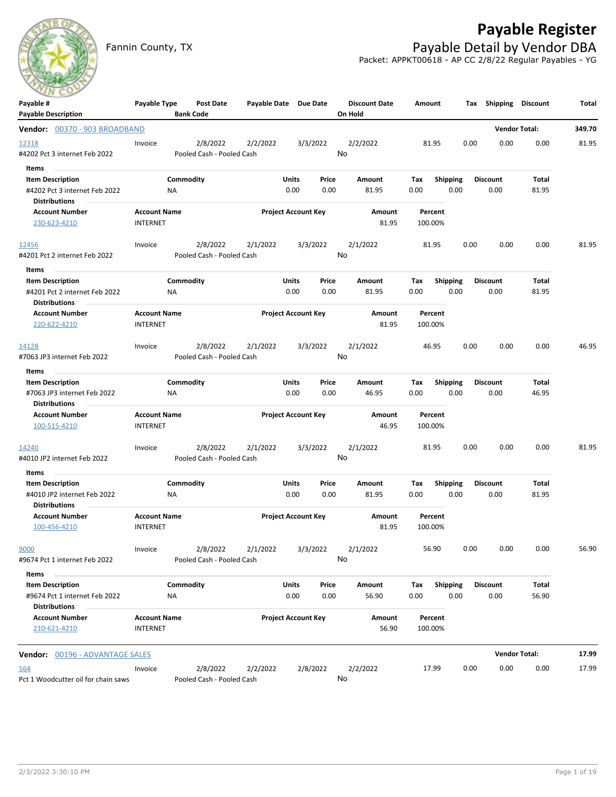

# **Payable Register**

Fannin County, TX **Payable Detail by Vendor DBA** Packet: APPKT00618 - AP CC 2/8/22 Regular Payables - YG

| <b>Payable Description</b><br><b>Bank Code</b><br>On Hold<br><b>Vendor Total:</b><br>Vendor: 00370 - 903 BROADBAND<br>2/8/2022<br>2/2/2022<br>3/3/2022<br>2/2/2022<br>81.95<br>0.00<br>0.00<br>12318<br>Invoice | 349.70<br>0.00<br>81.95 |
|-----------------------------------------------------------------------------------------------------------------------------------------------------------------------------------------------------------------|-------------------------|
|                                                                                                                                                                                                                 |                         |
|                                                                                                                                                                                                                 |                         |
|                                                                                                                                                                                                                 |                         |
| No<br>#4202 Pct 3 internet Feb 2022<br>Pooled Cash - Pooled Cash                                                                                                                                                |                         |
| Items                                                                                                                                                                                                           |                         |
| Commodity<br>Units<br><b>Shipping</b><br><b>Discount</b><br><b>Item Description</b><br>Price<br>Amount<br>Tax                                                                                                   | Total                   |
| 0.00<br>0.00<br>#4202 Pct 3 internet Feb 2022<br>0.00<br>81.95<br>0.00<br>0.00<br>ΝA                                                                                                                            | 81.95                   |
| <b>Distributions</b>                                                                                                                                                                                            |                         |
| <b>Project Account Key</b><br><b>Account Number</b><br><b>Account Name</b><br>Amount<br>Percent<br><b>INTERNET</b><br>81.95<br>230-623-4210<br>100.00%                                                          |                         |
|                                                                                                                                                                                                                 |                         |
| 2/8/2022<br>2/1/2022<br>3/3/2022<br>2/1/2022<br>81.95<br>0.00<br>0.00<br>12456<br>Invoice                                                                                                                       | 0.00<br>81.95           |
| No<br>#4201 Pct 2 internet Feb 2022<br>Pooled Cash - Pooled Cash                                                                                                                                                |                         |
| Items                                                                                                                                                                                                           |                         |
| <b>Item Description</b><br>Commodity<br>Units<br>Price<br>Amount<br>Tax<br><b>Shipping</b><br><b>Discount</b>                                                                                                   | Total                   |
| 0.00<br>#4201 Pct 2 internet Feb 2022<br>0.00<br>0.00<br>81.95<br>0.00<br>0.00<br>ΝA                                                                                                                            | 81.95                   |
| <b>Distributions</b>                                                                                                                                                                                            |                         |
| <b>Project Account Key</b><br><b>Account Number</b><br><b>Account Name</b><br>Amount<br>Percent                                                                                                                 |                         |
| 220-622-4210<br>81.95<br><b>INTERNET</b><br>100.00%                                                                                                                                                             |                         |
|                                                                                                                                                                                                                 |                         |
| 2/1/2022<br>2/8/2022<br>2/1/2022<br>3/3/2022<br>46.95<br>0.00<br>0.00<br>Invoice<br>14128                                                                                                                       | 46.95<br>0.00           |
| No<br>Pooled Cash - Pooled Cash<br>#7063 JP3 internet Feb 2022                                                                                                                                                  |                         |
| Items                                                                                                                                                                                                           |                         |
| Commodity<br>Units<br>Price<br><b>Shipping</b><br><b>Discount</b><br><b>Item Description</b><br>Amount<br>Tax                                                                                                   | Total                   |
| 0.00<br>#7063 JP3 internet Feb 2022<br>0.00<br>46.95<br>0.00<br>0.00<br>0.00<br>ΝA                                                                                                                              | 46.95                   |
| <b>Distributions</b>                                                                                                                                                                                            |                         |
| <b>Account Number</b><br><b>Account Name</b><br><b>Project Account Key</b><br>Amount<br>Percent<br>100-515-4210<br><b>INTERNET</b><br>46.95<br>100.00%                                                          |                         |
|                                                                                                                                                                                                                 |                         |
| 2/8/2022<br>2/1/2022<br>3/3/2022<br>2/1/2022<br>0.00<br>14240<br>Invoice<br>81.95<br>0.00                                                                                                                       | 0.00<br>81.95           |
| No<br>#4010 JP2 internet Feb 2022<br>Pooled Cash - Pooled Cash                                                                                                                                                  |                         |
| Items                                                                                                                                                                                                           |                         |
| Commodity<br><b>Item Description</b><br>Units<br>Price<br>Amount<br>Tax<br><b>Shipping</b><br><b>Discount</b>                                                                                                   | Total                   |
| 0.00<br>0.00<br>0.00<br>0.00<br>#4010 JP2 internet Feb 2022<br><b>NA</b><br>0.00<br>81.95                                                                                                                       | 81.95                   |
| <b>Distributions</b>                                                                                                                                                                                            |                         |
| <b>Project Account Key</b><br><b>Account Number</b><br><b>Account Name</b><br>Amount<br>Percent                                                                                                                 |                         |
| <b>INTERNET</b><br>81.95<br>100.00%<br>100-456-4210                                                                                                                                                             |                         |
|                                                                                                                                                                                                                 |                         |
| 56.90<br>0.00<br>9000<br>2/8/2022 2/1/2022<br>3/3/2022<br>2/1/2022<br>0.00<br>Invoice<br>No                                                                                                                     | 0.00<br>56.90           |
| Pooled Cash - Pooled Cash<br>#9674 Pct 1 internet Feb 2022                                                                                                                                                      |                         |
| Items                                                                                                                                                                                                           |                         |
| Commodity<br><b>Item Description</b><br><b>Units</b><br><b>Shipping</b><br><b>Discount</b><br>Price<br>Amount<br>Tax                                                                                            | Total                   |
| #9674 Pct 1 internet Feb 2022<br>0.00<br>0.00<br>56.90<br>0.00<br>0.00<br>0.00<br>ΝA<br><b>Distributions</b>                                                                                                    | 56.90                   |
| <b>Account Number</b><br><b>Account Name</b><br><b>Project Account Key</b><br>Amount<br>Percent                                                                                                                 |                         |
| 210-621-4210<br><b>INTERNET</b><br>56.90<br>100.00%                                                                                                                                                             |                         |
|                                                                                                                                                                                                                 |                         |
| <b>Vendor Total:</b><br>Vendor: 00196 - ADVANTAGE SALES                                                                                                                                                         | 17.99                   |
| 2/8/2022<br>2/2/2022<br>2/2/2022<br>2/8/2022<br>17.99<br>0.00<br>0.00<br>564<br>Invoice                                                                                                                         | 0.00<br>17.99           |
| No<br>Pct 1 Woodcutter oil for chain saws<br>Pooled Cash - Pooled Cash                                                                                                                                          |                         |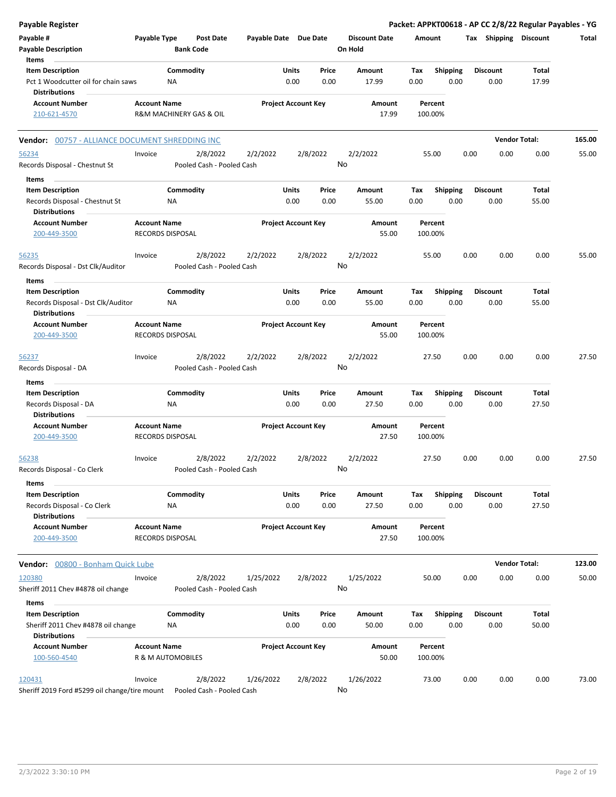| <b>Payable Register</b>                                                                |                     |                                      |                           |                            |               |               |                                 |             |                         |      |                         | Packet: APPKT00618 - AP CC 2/8/22 Regular Payables - YG |        |
|----------------------------------------------------------------------------------------|---------------------|--------------------------------------|---------------------------|----------------------------|---------------|---------------|---------------------------------|-------------|-------------------------|------|-------------------------|---------------------------------------------------------|--------|
| Payable #<br><b>Payable Description</b><br>Items                                       | Payable Type        | <b>Post Date</b><br><b>Bank Code</b> |                           | Payable Date Due Date      |               |               | <b>Discount Date</b><br>On Hold | Amount      |                         |      | Tax Shipping Discount   |                                                         | Total  |
|                                                                                        |                     |                                      |                           |                            |               |               |                                 |             |                         |      |                         |                                                         |        |
| <b>Item Description</b><br>Pct 1 Woodcutter oil for chain saws<br><b>Distributions</b> |                     | Commodity<br><b>NA</b>               |                           |                            | Units<br>0.00 | Price<br>0.00 | Amount<br>17.99                 | Tax<br>0.00 | <b>Shipping</b><br>0.00 |      | <b>Discount</b><br>0.00 | Total<br>17.99                                          |        |
| <b>Account Number</b>                                                                  | <b>Account Name</b> |                                      |                           | <b>Project Account Key</b> |               |               | Amount                          |             | Percent                 |      |                         |                                                         |        |
| 210-621-4570                                                                           |                     | R&M MACHINERY GAS & OIL              |                           |                            |               |               | 17.99                           | 100.00%     |                         |      |                         |                                                         |        |
| Vendor: 00757 - ALLIANCE DOCUMENT SHREDDING INC                                        |                     |                                      |                           |                            |               |               |                                 |             |                         |      |                         | <b>Vendor Total:</b>                                    | 165.00 |
| 56234                                                                                  | Invoice             | 2/8/2022                             |                           | 2/2/2022                   | 2/8/2022      |               | 2/2/2022                        |             | 55.00                   | 0.00 | 0.00                    | 0.00                                                    | 55.00  |
| Records Disposal - Chestnut St                                                         |                     |                                      | Pooled Cash - Pooled Cash |                            |               |               | No                              |             |                         |      |                         |                                                         |        |
| Items                                                                                  |                     |                                      |                           |                            |               |               |                                 |             |                         |      |                         |                                                         |        |
| <b>Item Description</b><br>Records Disposal - Chestnut St<br><b>Distributions</b>      |                     | Commodity<br>ΝA                      |                           |                            | Units<br>0.00 | Price<br>0.00 | Amount<br>55.00                 | Tax<br>0.00 | <b>Shipping</b><br>0.00 |      | <b>Discount</b><br>0.00 | Total<br>55.00                                          |        |
| <b>Account Number</b><br>200-449-3500                                                  | <b>Account Name</b> | RECORDS DISPOSAL                     |                           | <b>Project Account Key</b> |               |               | Amount<br>55.00                 | 100.00%     | Percent                 |      |                         |                                                         |        |
| 56235                                                                                  | Invoice             | 2/8/2022                             |                           | 2/2/2022                   | 2/8/2022      |               | 2/2/2022                        |             | 55.00                   | 0.00 | 0.00                    | 0.00                                                    | 55.00  |
| Records Disposal - Dst Clk/Auditor                                                     |                     |                                      | Pooled Cash - Pooled Cash |                            |               |               | No                              |             |                         |      |                         |                                                         |        |
| Items                                                                                  |                     |                                      |                           |                            |               |               |                                 |             |                         |      |                         |                                                         |        |
| <b>Item Description</b><br>Records Disposal - Dst Clk/Auditor<br><b>Distributions</b>  |                     | Commodity<br>ΝA                      |                           |                            | Units<br>0.00 | Price<br>0.00 | Amount<br>55.00                 | Tax<br>0.00 | Shipping<br>0.00        |      | <b>Discount</b><br>0.00 | Total<br>55.00                                          |        |
| <b>Account Number</b><br>200-449-3500                                                  | <b>Account Name</b> | RECORDS DISPOSAL                     |                           | <b>Project Account Key</b> |               |               | Amount<br>55.00                 | 100.00%     | Percent                 |      |                         |                                                         |        |
| 56237                                                                                  | Invoice             | 2/8/2022                             |                           | 2/2/2022                   | 2/8/2022      |               | 2/2/2022                        |             | 27.50                   | 0.00 | 0.00                    | 0.00                                                    | 27.50  |
| Records Disposal - DA                                                                  |                     |                                      | Pooled Cash - Pooled Cash |                            |               |               | No                              |             |                         |      |                         |                                                         |        |
| Items                                                                                  |                     |                                      |                           |                            |               |               |                                 |             |                         |      |                         |                                                         |        |
| <b>Item Description</b>                                                                |                     | Commodity                            |                           |                            | Units         | Price         | Amount                          | Tax         | <b>Shipping</b>         |      | <b>Discount</b>         | Total                                                   |        |
| Records Disposal - DA<br><b>Distributions</b>                                          |                     | <b>NA</b>                            |                           |                            | 0.00          | 0.00          | 27.50                           | 0.00        | 0.00                    |      | 0.00                    | 27.50                                                   |        |
| <b>Account Number</b><br>200-449-3500                                                  | <b>Account Name</b> | <b>RECORDS DISPOSAL</b>              |                           | <b>Project Account Key</b> |               |               | Amount<br>27.50                 | 100.00%     | Percent                 |      |                         |                                                         |        |
| 56238<br>Records Disposal - Co Clerk                                                   | Invoice             | 2/8/2022                             | Pooled Cash - Pooled Cash | 2/2/2022                   | 2/8/2022      |               | 2/2/2022<br>No                  |             | 27.50                   | 0.00 | 0.00                    | 0.00                                                    | 27.50  |
| Items                                                                                  |                     |                                      |                           |                            |               |               |                                 |             |                         |      |                         |                                                         |        |
| <b>Item Description</b><br>Records Disposal - Co Clerk<br><b>Distributions</b>         |                     | Commodity<br>ΝA                      |                           |                            | Units<br>0.00 | Price<br>0.00 | Amount<br>27.50                 | Tax<br>0.00 | Shipping<br>0.00        |      | <b>Discount</b><br>0.00 | Total<br>27.50                                          |        |
| <b>Account Number</b><br>200-449-3500                                                  | <b>Account Name</b> | <b>RECORDS DISPOSAL</b>              |                           | <b>Project Account Key</b> |               |               | Amount<br>27.50                 | 100.00%     | Percent                 |      |                         |                                                         |        |
| Vendor: 00800 - Bonham Quick Lube                                                      |                     |                                      |                           |                            |               |               |                                 |             |                         |      |                         | <b>Vendor Total:</b>                                    | 123.00 |
| 120380                                                                                 | Invoice             | 2/8/2022                             |                           | 1/25/2022                  | 2/8/2022      |               | 1/25/2022                       |             | 50.00                   | 0.00 | 0.00                    | 0.00                                                    | 50.00  |
| Sheriff 2011 Chev #4878 oil change                                                     |                     |                                      | Pooled Cash - Pooled Cash |                            |               |               | No                              |             |                         |      |                         |                                                         |        |
| Items                                                                                  |                     |                                      |                           |                            |               |               |                                 |             |                         |      |                         |                                                         |        |
| <b>Item Description</b><br>Sheriff 2011 Chev #4878 oil change<br><b>Distributions</b>  |                     | Commodity<br>NA                      |                           |                            | Units<br>0.00 | Price<br>0.00 | Amount<br>50.00                 | Tax<br>0.00 | <b>Shipping</b><br>0.00 |      | <b>Discount</b><br>0.00 | Total<br>50.00                                          |        |
| <b>Account Number</b><br>100-560-4540                                                  | <b>Account Name</b> | R & M AUTOMOBILES                    |                           | <b>Project Account Key</b> |               |               | Amount<br>50.00                 | 100.00%     | Percent                 |      |                         |                                                         |        |
| 120431<br>Sheriff 2019 Ford #5299 oil change/tire mount                                | Invoice             | 2/8/2022                             | Pooled Cash - Pooled Cash | 1/26/2022                  | 2/8/2022      |               | 1/26/2022<br>No                 |             | 73.00                   | 0.00 | 0.00                    | 0.00                                                    | 73.00  |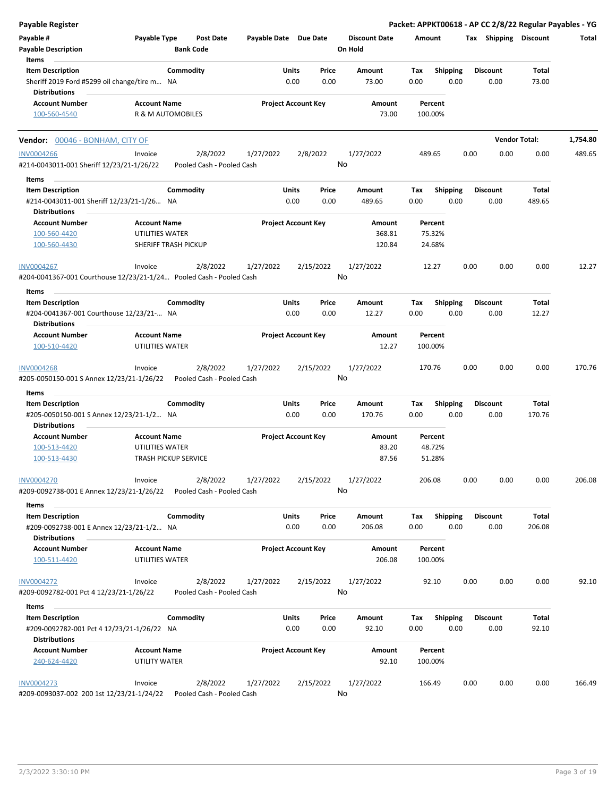| <b>Payable Register</b>                                                                  |                                                |                                       |                       |                                       |                                 | Packet: APPKT00618 - AP CC 2/8/22 Regular Payables - YG |                         |                        |          |
|------------------------------------------------------------------------------------------|------------------------------------------------|---------------------------------------|-----------------------|---------------------------------------|---------------------------------|---------------------------------------------------------|-------------------------|------------------------|----------|
| Payable #<br><b>Payable Description</b>                                                  | Payable Type                                   | <b>Post Date</b><br><b>Bank Code</b>  | Payable Date Due Date |                                       | <b>Discount Date</b><br>On Hold | Amount                                                  | Tax Shipping Discount   |                        | Total    |
| Items                                                                                    |                                                |                                       |                       |                                       |                                 |                                                         |                         |                        |          |
| <b>Item Description</b><br>Sheriff 2019 Ford #5299 oil change/tire m NA                  | Commodity                                      |                                       |                       | Units<br>Price<br>0.00<br>0.00        | Amount<br>73.00                 | Tax<br><b>Shipping</b><br>0.00<br>0.00                  | <b>Discount</b><br>0.00 | Total<br>73.00         |          |
| <b>Distributions</b>                                                                     |                                                |                                       |                       |                                       |                                 |                                                         |                         |                        |          |
| <b>Account Number</b><br>100-560-4540                                                    | <b>Account Name</b><br>R & M AUTOMOBILES       |                                       |                       | <b>Project Account Key</b>            | Amount<br>73.00                 | Percent<br>100.00%                                      |                         |                        |          |
| Vendor: 00046 - BONHAM, CITY OF                                                          |                                                |                                       |                       |                                       |                                 |                                                         |                         | <b>Vendor Total:</b>   | 1,754.80 |
| <b>INV0004266</b><br>#214-0043011-001 Sheriff 12/23/21-1/26/22                           | Invoice                                        | 2/8/2022<br>Pooled Cash - Pooled Cash | 1/27/2022             | 2/8/2022                              | 1/27/2022<br>No                 | 489.65                                                  | 0.00<br>0.00            | 0.00                   | 489.65   |
| Items                                                                                    |                                                |                                       |                       |                                       |                                 |                                                         |                         |                        |          |
| <b>Item Description</b><br>#214-0043011-001 Sheriff 12/23/21-1/26 NA                     | Commodity                                      |                                       |                       | Units<br>Price<br>0.00<br>0.00        | Amount<br>489.65                | <b>Shipping</b><br>Tax<br>0.00<br>0.00                  | <b>Discount</b><br>0.00 | <b>Total</b><br>489.65 |          |
| <b>Distributions</b><br><b>Account Number</b>                                            | <b>Account Name</b>                            |                                       |                       | <b>Project Account Key</b>            | Amount                          | Percent                                                 |                         |                        |          |
| 100-560-4420                                                                             | UTILITIES WATER                                |                                       |                       |                                       | 368.81                          | 75.32%                                                  |                         |                        |          |
| 100-560-4430                                                                             | SHERIFF TRASH PICKUP                           |                                       |                       |                                       | 120.84                          | 24.68%                                                  |                         |                        |          |
| <b>INV0004267</b><br>#204-0041367-001 Courthouse 12/23/21-1/24 Pooled Cash - Pooled Cash | Invoice                                        | 2/8/2022                              | 1/27/2022             | 2/15/2022                             | 1/27/2022<br>No                 | 12.27                                                   | 0.00<br>0.00            | 0.00                   | 12.27    |
| Items                                                                                    |                                                |                                       |                       |                                       |                                 |                                                         |                         |                        |          |
| <b>Item Description</b>                                                                  | Commodity                                      |                                       |                       | Units<br>Price                        | Amount                          | Shipping<br>Тах                                         | <b>Discount</b>         | Total                  |          |
| #204-0041367-001 Courthouse 12/23/21- NA                                                 |                                                |                                       |                       | 0.00<br>0.00                          | 12.27                           | 0.00<br>0.00                                            | 0.00                    | 12.27                  |          |
| <b>Distributions</b><br><b>Account Number</b>                                            | <b>Account Name</b>                            |                                       |                       | <b>Project Account Key</b>            | Amount                          | Percent                                                 |                         |                        |          |
| 100-510-4420                                                                             | UTILITIES WATER                                |                                       |                       |                                       | 12.27                           | 100.00%                                                 |                         |                        |          |
| <b>INV0004268</b><br>#205-0050150-001 S Annex 12/23/21-1/26/22                           | Invoice                                        | 2/8/2022<br>Pooled Cash - Pooled Cash | 1/27/2022             | 2/15/2022                             | 1/27/2022<br>No                 | 170.76                                                  | 0.00<br>0.00            | 0.00                   | 170.76   |
| Items                                                                                    |                                                |                                       |                       |                                       |                                 |                                                         |                         |                        |          |
| <b>Item Description</b><br>#205-0050150-001 S Annex 12/23/21-1/2 NA                      | Commodity                                      |                                       |                       | Units<br>Price<br>0.00<br>0.00        | Amount<br>170.76                | Tax<br><b>Shipping</b><br>0.00<br>0.00                  | <b>Discount</b><br>0.00 | <b>Total</b><br>170.76 |          |
| <b>Distributions</b>                                                                     |                                                |                                       |                       |                                       |                                 |                                                         |                         |                        |          |
| <b>Account Number</b>                                                                    | <b>Account Name</b>                            |                                       |                       | <b>Project Account Key</b>            | Amount                          | Percent                                                 |                         |                        |          |
| 100-513-4420<br>100-513-4430                                                             | UTILITIES WATER<br><b>TRASH PICKUP SERVICE</b> |                                       |                       |                                       | 83.20<br>87.56                  | 48.72%<br>51.28%                                        |                         |                        |          |
| <b>INV0004270</b>                                                                        | Invoice                                        | 2/8/2022                              | 1/27/2022             | 2/15/2022                             | 1/27/2022                       | 206.08                                                  | 0.00<br>0.00            | 0.00                   | 206.08   |
| #209-0092738-001 E Annex 12/23/21-1/26/22                                                |                                                | Pooled Cash - Pooled Cash             |                       |                                       | No                              |                                                         |                         |                        |          |
| Items                                                                                    |                                                |                                       |                       |                                       |                                 |                                                         |                         |                        |          |
| <b>Item Description</b><br>#209-0092738-001 E Annex 12/23/21-1/2 NA                      | Commodity                                      |                                       |                       | <b>Units</b><br>Price<br>0.00<br>0.00 | Amount<br>206.08                | Shipping<br>Тах<br>0.00<br>0.00                         | <b>Discount</b><br>0.00 | <b>Total</b><br>206.08 |          |
| <b>Distributions</b>                                                                     |                                                |                                       |                       |                                       |                                 |                                                         |                         |                        |          |
| <b>Account Number</b><br>100-511-4420                                                    | <b>Account Name</b><br>UTILITIES WATER         |                                       |                       | <b>Project Account Key</b>            | Amount<br>206.08                | Percent<br>100.00%                                      |                         |                        |          |
| <b>INV0004272</b><br>#209-0092782-001 Pct 4 12/23/21-1/26/22                             | Invoice                                        | 2/8/2022<br>Pooled Cash - Pooled Cash | 1/27/2022             | 2/15/2022                             | 1/27/2022<br>No                 | 92.10                                                   | 0.00<br>0.00            | 0.00                   | 92.10    |
| Items                                                                                    |                                                |                                       |                       |                                       |                                 |                                                         |                         |                        |          |
| <b>Item Description</b>                                                                  | Commodity                                      |                                       |                       | <b>Units</b><br>Price                 | Amount                          | <b>Shipping</b><br>Tax                                  | <b>Discount</b>         | Total                  |          |
| #209-0092782-001 Pct 4 12/23/21-1/26/22 NA<br><b>Distributions</b>                       |                                                |                                       |                       | 0.00<br>0.00                          | 92.10                           | 0.00<br>0.00                                            | 0.00                    | 92.10                  |          |
| <b>Account Number</b>                                                                    | <b>Account Name</b>                            |                                       |                       | <b>Project Account Key</b>            | Amount                          | Percent                                                 |                         |                        |          |
| 240-624-4420                                                                             | UTILITY WATER                                  |                                       |                       |                                       | 92.10                           | 100.00%                                                 |                         |                        |          |
| INV0004273<br>#209-0093037-002 200 1st 12/23/21-1/24/22                                  | Invoice                                        | 2/8/2022<br>Pooled Cash - Pooled Cash | 1/27/2022             | 2/15/2022                             | 1/27/2022<br>No                 | 166.49                                                  | 0.00<br>0.00            | 0.00                   | 166.49   |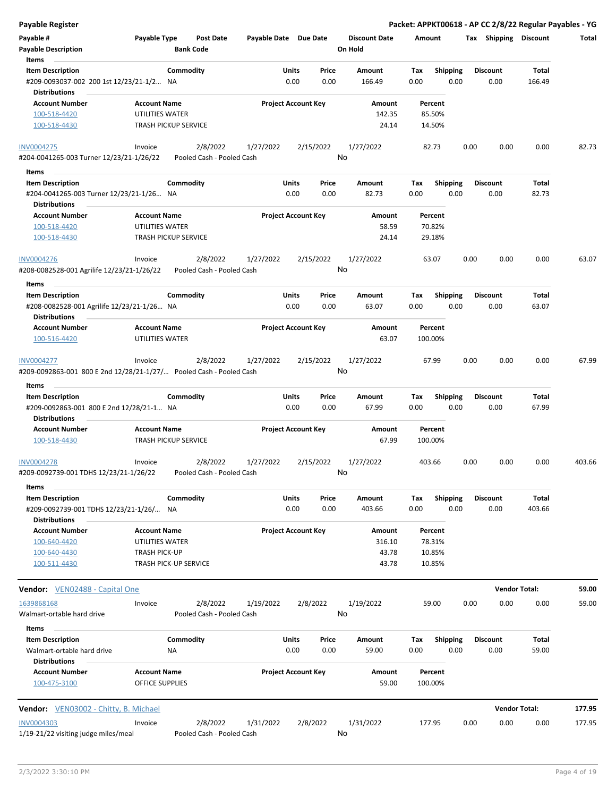| <b>Payable Register</b>                                                                     |                                                    |                                       |                            |               |               |                                 |             |                         |      |                         | Packet: APPKT00618 - AP CC 2/8/22 Regular Payables - YG |        |
|---------------------------------------------------------------------------------------------|----------------------------------------------------|---------------------------------------|----------------------------|---------------|---------------|---------------------------------|-------------|-------------------------|------|-------------------------|---------------------------------------------------------|--------|
| Payable #<br><b>Payable Description</b>                                                     | Payable Type                                       | <b>Post Date</b><br><b>Bank Code</b>  | Payable Date Due Date      |               |               | <b>Discount Date</b><br>On Hold | Amount      |                         |      | Tax Shipping Discount   |                                                         | Total  |
| Items<br><b>Item Description</b>                                                            | Commodity                                          |                                       |                            | Units         | Price         | Amount                          | Tax         | <b>Shipping</b>         |      | <b>Discount</b>         | Total                                                   |        |
| #209-0093037-002 200 1st 12/23/21-1/2 NA<br><b>Distributions</b>                            |                                                    |                                       |                            | 0.00          | 0.00          | 166.49                          | 0.00        | 0.00                    |      | 0.00                    | 166.49                                                  |        |
| <b>Account Number</b>                                                                       | <b>Account Name</b>                                |                                       | <b>Project Account Key</b> |               |               | Amount                          |             | Percent                 |      |                         |                                                         |        |
| 100-518-4420                                                                                | UTILITIES WATER                                    |                                       |                            |               |               | 142.35                          |             | 85.50%                  |      |                         |                                                         |        |
| 100-518-4430                                                                                | <b>TRASH PICKUP SERVICE</b>                        |                                       |                            |               |               | 24.14                           |             | 14.50%                  |      |                         |                                                         |        |
| INV0004275                                                                                  | Invoice                                            | 2/8/2022                              | 1/27/2022                  |               | 2/15/2022     | 1/27/2022                       |             | 82.73                   | 0.00 | 0.00                    | 0.00                                                    | 82.73  |
| #204-0041265-003 Turner 12/23/21-1/26/22                                                    |                                                    | Pooled Cash - Pooled Cash             |                            |               | No            |                                 |             |                         |      |                         |                                                         |        |
| Items                                                                                       |                                                    |                                       |                            |               |               |                                 |             |                         |      |                         |                                                         |        |
| <b>Item Description</b>                                                                     | Commodity                                          |                                       |                            | Units         | Price         | Amount                          | Tax         | <b>Shipping</b>         |      | <b>Discount</b>         | Total                                                   |        |
| #204-0041265-003 Turner 12/23/21-1/26 NA                                                    |                                                    |                                       |                            | 0.00          | 0.00          | 82.73                           | 0.00        | 0.00                    |      | 0.00                    | 82.73                                                   |        |
| <b>Distributions</b>                                                                        |                                                    |                                       |                            |               |               |                                 |             |                         |      |                         |                                                         |        |
| <b>Account Number</b>                                                                       | <b>Account Name</b>                                |                                       | <b>Project Account Key</b> |               |               | Amount                          |             | Percent                 |      |                         |                                                         |        |
| 100-518-4420<br>100-518-4430                                                                | UTILITIES WATER<br><b>TRASH PICKUP SERVICE</b>     |                                       |                            |               |               | 58.59<br>24.14                  |             | 70.82%<br>29.18%        |      |                         |                                                         |        |
| INV0004276                                                                                  | Invoice                                            | 2/8/2022                              | 1/27/2022                  |               | 2/15/2022     | 1/27/2022                       |             | 63.07                   | 0.00 | 0.00                    | 0.00                                                    | 63.07  |
| #208-0082528-001 Agrilife 12/23/21-1/26/22<br>Items                                         |                                                    | Pooled Cash - Pooled Cash             |                            |               | No            |                                 |             |                         |      |                         |                                                         |        |
| <b>Item Description</b>                                                                     | Commodity                                          |                                       |                            | Units         | Price         | Amount                          | Tax         | <b>Shipping</b>         |      | <b>Discount</b>         | Total                                                   |        |
| #208-0082528-001 Agrilife 12/23/21-1/26 NA                                                  |                                                    |                                       |                            | 0.00          | 0.00          | 63.07                           | 0.00        | 0.00                    |      | 0.00                    | 63.07                                                   |        |
| <b>Distributions</b>                                                                        |                                                    |                                       |                            |               |               |                                 |             |                         |      |                         |                                                         |        |
| <b>Account Number</b>                                                                       | <b>Account Name</b>                                |                                       | <b>Project Account Key</b> |               |               | Amount                          |             | Percent                 |      |                         |                                                         |        |
| 100-516-4420                                                                                | UTILITIES WATER                                    |                                       |                            |               |               | 63.07                           |             | 100.00%                 |      |                         |                                                         |        |
| <b>INV0004277</b>                                                                           | Invoice                                            | 2/8/2022                              | 1/27/2022                  |               | 2/15/2022     | 1/27/2022<br>No                 |             | 67.99                   | 0.00 | 0.00                    | 0.00                                                    | 67.99  |
| #209-0092863-001 800 E 2nd 12/28/21-1/27/        Pooled Cash - Pooled Cash                  |                                                    |                                       |                            |               |               |                                 |             |                         |      |                         |                                                         |        |
| Items                                                                                       |                                                    |                                       |                            |               |               |                                 |             |                         |      |                         |                                                         |        |
| <b>Item Description</b><br>#209-0092863-001 800 E 2nd 12/28/21-1 NA<br><b>Distributions</b> | Commodity                                          |                                       |                            | Units<br>0.00 | Price<br>0.00 | Amount<br>67.99                 | Tax<br>0.00 | <b>Shipping</b><br>0.00 |      | <b>Discount</b><br>0.00 | Total<br>67.99                                          |        |
|                                                                                             |                                                    |                                       | <b>Project Account Key</b> |               |               |                                 |             |                         |      |                         |                                                         |        |
| <b>Account Number</b><br>100-518-4430                                                       | <b>Account Name</b><br><b>TRASH PICKUP SERVICE</b> |                                       |                            |               |               | Amount<br>67.99                 |             | Percent<br>100.00%      |      |                         |                                                         |        |
| <b>INV0004278</b>                                                                           | Invoice                                            | 2/8/2022                              | 1/27/2022                  |               | 2/15/2022     | 1/27/2022                       |             | 403.66                  | 0.00 | 0.00                    | 0.00                                                    | 403.66 |
| #209-0092739-001 TDHS 12/23/21-1/26/22                                                      |                                                    | Pooled Cash - Pooled Cash             |                            |               |               | No                              |             |                         |      |                         |                                                         |        |
| Items<br><b>Item Description</b>                                                            | Commodity                                          |                                       |                            | Units         | Price         | Amount                          |             |                         |      | <b>Discount</b>         | Total                                                   |        |
| #209-0092739-001 TDHS 12/23/21-1/26/ NA<br><b>Distributions</b>                             |                                                    |                                       |                            | 0.00          | 0.00          | 403.66                          | Tax<br>0.00 | <b>Shipping</b><br>0.00 |      | 0.00                    | 403.66                                                  |        |
| <b>Account Number</b>                                                                       | <b>Account Name</b>                                |                                       | <b>Project Account Key</b> |               |               | Amount                          |             | Percent                 |      |                         |                                                         |        |
| 100-640-4420                                                                                | UTILITIES WATER                                    |                                       |                            |               |               | 316.10                          |             | 78.31%                  |      |                         |                                                         |        |
| 100-640-4430                                                                                | <b>TRASH PICK-UP</b>                               |                                       |                            |               |               | 43.78                           |             | 10.85%                  |      |                         |                                                         |        |
| 100-511-4430                                                                                | TRASH PICK-UP SERVICE                              |                                       |                            |               |               | 43.78                           |             | 10.85%                  |      |                         |                                                         |        |
| <b>Vendor:</b> VEN02488 - Capital One                                                       |                                                    |                                       |                            |               |               |                                 |             |                         |      |                         | <b>Vendor Total:</b>                                    | 59.00  |
| 1639868168                                                                                  | Invoice                                            | 2/8/2022                              | 1/19/2022                  |               | 2/8/2022      | 1/19/2022                       |             | 59.00                   | 0.00 | 0.00                    | 0.00                                                    | 59.00  |
| Walmart-ortable hard drive                                                                  |                                                    | Pooled Cash - Pooled Cash             |                            |               |               | No                              |             |                         |      |                         |                                                         |        |
| Items                                                                                       |                                                    |                                       |                            |               |               |                                 |             |                         |      |                         |                                                         |        |
| <b>Item Description</b><br>Walmart-ortable hard drive                                       | Commodity<br>ΝA                                    |                                       |                            | Units<br>0.00 | Price<br>0.00 | Amount<br>59.00                 | Tax<br>0.00 | <b>Shipping</b><br>0.00 |      | <b>Discount</b><br>0.00 | Total<br>59.00                                          |        |
| <b>Distributions</b>                                                                        |                                                    |                                       |                            |               |               |                                 |             |                         |      |                         |                                                         |        |
| <b>Account Number</b><br>100-475-3100                                                       | <b>Account Name</b><br><b>OFFICE SUPPLIES</b>      |                                       | <b>Project Account Key</b> |               |               | Amount<br>59.00                 |             | Percent<br>100.00%      |      |                         |                                                         |        |
|                                                                                             |                                                    |                                       |                            |               |               |                                 |             |                         |      |                         |                                                         |        |
| <b>Vendor:</b> VEN03002 - Chitty, B. Michael                                                |                                                    |                                       |                            |               |               |                                 |             |                         |      |                         | <b>Vendor Total:</b>                                    | 177.95 |
| <b>INV0004303</b><br>1/19-21/22 visiting judge miles/meal                                   | Invoice                                            | 2/8/2022<br>Pooled Cash - Pooled Cash | 1/31/2022                  |               | 2/8/2022      | 1/31/2022<br>No                 |             | 177.95                  | 0.00 | 0.00                    | 0.00                                                    | 177.95 |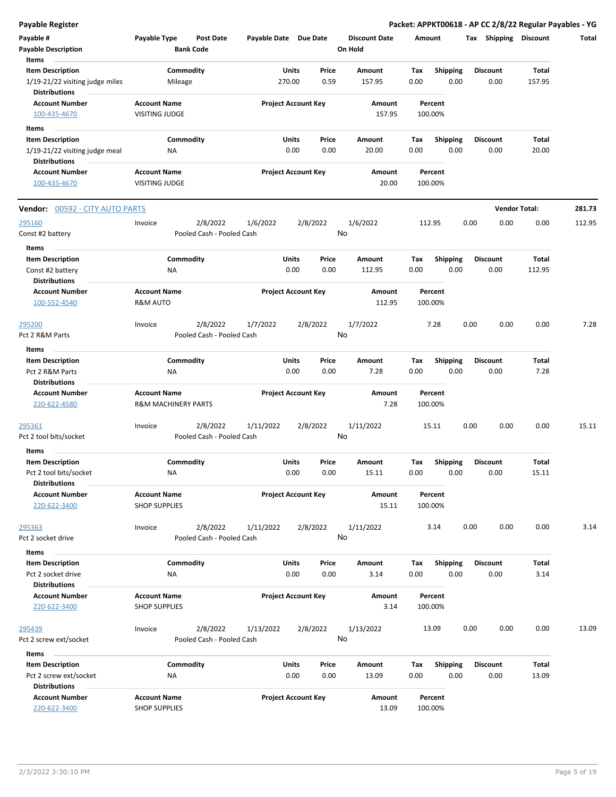**Payable Register Packet: APPKT00618 - AP CC 2/8/22 Regular Payables - YG**

| Payable #<br><b>Payable Description</b><br>Items                                   | Payable Type                                | <b>Post Date</b><br><b>Bank Code</b>  | Payable Date Due Date |                                            | <b>Discount Date</b><br>On Hold | Amount             |                         |                 |                      | Tax Shipping Discount | Total  |
|------------------------------------------------------------------------------------|---------------------------------------------|---------------------------------------|-----------------------|--------------------------------------------|---------------------------------|--------------------|-------------------------|-----------------|----------------------|-----------------------|--------|
| <b>Item Description</b><br>1/19-21/22 visiting judge miles<br><b>Distributions</b> | Mileage                                     | Commodity                             |                       | Units<br>Price<br>0.59<br>270.00           | Amount<br>157.95                | Tax<br>0.00        | <b>Shipping</b><br>0.00 | <b>Discount</b> | 0.00                 | Total<br>157.95       |        |
| <b>Account Number</b><br>100-435-4670                                              | <b>Account Name</b><br>VISITING JUDGE       |                                       |                       | <b>Project Account Key</b>                 | Amount<br>157.95                | Percent<br>100.00% |                         |                 |                      |                       |        |
| Items                                                                              |                                             |                                       |                       |                                            |                                 |                    |                         |                 |                      |                       |        |
| <b>Item Description</b>                                                            |                                             | Commodity                             |                       | Units<br>Price                             | Amount                          | Tax                | <b>Shipping</b><br>0.00 | <b>Discount</b> |                      | Total                 |        |
| 1/19-21/22 visiting judge meal<br><b>Distributions</b><br><b>Account Number</b>    | ΝA<br><b>Account Name</b>                   |                                       |                       | 0.00<br>0.00<br><b>Project Account Key</b> | 20.00<br>Amount                 | 0.00<br>Percent    |                         |                 | 0.00                 | 20.00                 |        |
| 100-435-4670                                                                       | <b>VISITING JUDGE</b>                       |                                       |                       |                                            | 20.00                           | 100.00%            |                         |                 |                      |                       |        |
| <b>Vendor: 00592 - CITY AUTO PARTS</b>                                             |                                             |                                       |                       |                                            |                                 |                    |                         |                 | <b>Vendor Total:</b> |                       | 281.73 |
| 295160<br>Const #2 battery                                                         | Invoice                                     | 2/8/2022<br>Pooled Cash - Pooled Cash | 1/6/2022              | 2/8/2022                                   | 1/6/2022<br>No                  | 112.95             |                         | 0.00            | 0.00                 | 0.00                  | 112.95 |
| Items                                                                              |                                             |                                       |                       |                                            |                                 |                    |                         |                 |                      |                       |        |
| <b>Item Description</b><br>Const #2 battery<br><b>Distributions</b>                | ΝA                                          | Commodity                             |                       | Units<br>Price<br>0.00<br>0.00             | Amount<br>112.95                | Tax<br>0.00        | <b>Shipping</b><br>0.00 | <b>Discount</b> | 0.00                 | Total<br>112.95       |        |
| <b>Account Number</b><br>100-552-4540                                              | <b>Account Name</b><br>R&M AUTO             |                                       |                       | <b>Project Account Key</b>                 | Amount<br>112.95                | Percent<br>100.00% |                         |                 |                      |                       |        |
| <u> 295200</u><br>Pct 2 R&M Parts                                                  | Invoice                                     | 2/8/2022<br>Pooled Cash - Pooled Cash | 1/7/2022              | 2/8/2022                                   | 1/7/2022<br>No                  | 7.28               |                         | 0.00            | 0.00                 | 0.00                  | 7.28   |
| Items                                                                              |                                             |                                       |                       |                                            |                                 |                    |                         |                 |                      |                       |        |
| <b>Item Description</b><br>Pct 2 R&M Parts<br><b>Distributions</b>                 | ΝA                                          | Commodity                             |                       | Units<br>Price<br>0.00<br>0.00             | Amount<br>7.28                  | Tax<br>0.00        | <b>Shipping</b><br>0.00 | <b>Discount</b> | 0.00                 | Total<br>7.28         |        |
| <b>Account Number</b><br>220-622-4580                                              | <b>Account Name</b><br>R&M MACHINERY PARTS  |                                       |                       | <b>Project Account Key</b>                 | Amount<br>7.28                  | Percent<br>100.00% |                         |                 |                      |                       |        |
| 295361<br>Pct 2 tool bits/socket                                                   | Invoice                                     | 2/8/2022<br>Pooled Cash - Pooled Cash | 1/11/2022             | 2/8/2022                                   | 1/11/2022<br>No                 | 15.11              |                         | 0.00            | 0.00                 | 0.00                  | 15.11  |
| Items<br><b>Item Description</b>                                                   |                                             | Commodity                             |                       | Units<br>Price                             | Amount                          | Tax                | <b>Shipping</b>         | <b>Discount</b> |                      | Total                 |        |
| Pct 2 tool bits/socket<br>Distributions                                            | ΝA                                          |                                       |                       | 0.00<br>0.00                               | 15.11                           | 0.00               | 0.00                    |                 | 0.00                 | 15.11                 |        |
| <b>Account Number</b><br>220-622-3400                                              | <b>Account Name</b><br><b>SHOP SUPPLIES</b> |                                       |                       | <b>Project Account Key</b>                 | Amount<br>15.11                 | Percent<br>100.00% |                         |                 |                      |                       |        |
| 295363<br>Pct 2 socket drive                                                       | Invoice                                     | 2/8/2022<br>Pooled Cash - Pooled Cash | 1/11/2022             | 2/8/2022                                   | 1/11/2022<br>No                 | 3.14               |                         | 0.00            | 0.00                 | 0.00                  | 3.14   |
| Items                                                                              |                                             |                                       |                       |                                            |                                 |                    |                         |                 |                      |                       |        |
| <b>Item Description</b><br>Pct 2 socket drive                                      | ΝA                                          | Commodity                             |                       | Units<br>Price<br>0.00<br>0.00             | Amount<br>3.14                  | Tax<br>0.00        | <b>Shipping</b><br>0.00 | <b>Discount</b> | 0.00                 | Total<br>3.14         |        |
| <b>Distributions</b><br><b>Account Number</b><br>220-622-3400                      | <b>Account Name</b><br><b>SHOP SUPPLIES</b> |                                       |                       | <b>Project Account Key</b>                 | Amount<br>3.14                  | Percent<br>100.00% |                         |                 |                      |                       |        |
| <u> 295439</u>                                                                     | Invoice                                     | 2/8/2022<br>Pooled Cash - Pooled Cash | 1/13/2022             | 2/8/2022                                   | 1/13/2022<br>No                 | 13.09              |                         | 0.00            | 0.00                 | 0.00                  | 13.09  |
| Pct 2 screw ext/socket                                                             |                                             |                                       |                       |                                            |                                 |                    |                         |                 |                      |                       |        |
| Items<br><b>Item Description</b>                                                   |                                             | Commodity                             |                       | Units<br>Price                             | Amount                          | Tax                | <b>Shipping</b>         | <b>Discount</b> |                      | Total                 |        |
| Pct 2 screw ext/socket<br><b>Distributions</b>                                     | ΝA                                          |                                       |                       | 0.00<br>0.00                               | 13.09                           | 0.00               | 0.00                    |                 | 0.00                 | 13.09                 |        |
| <b>Account Number</b><br>220-622-3400                                              | <b>Account Name</b><br><b>SHOP SUPPLIES</b> |                                       |                       | <b>Project Account Key</b>                 | Amount<br>13.09                 | Percent<br>100.00% |                         |                 |                      |                       |        |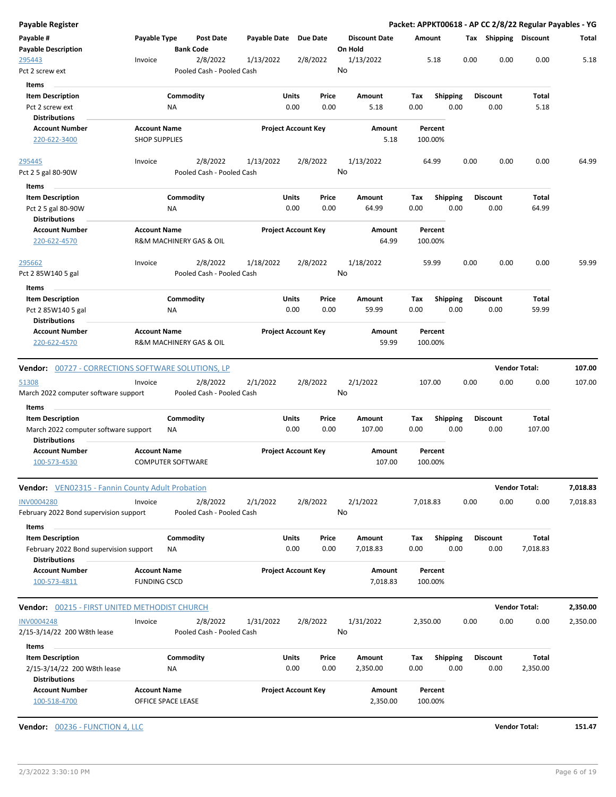| Payable #<br><b>Payable Description</b>                                                                                                                             |                                             |                           |                  |                       |                            |               |                                 |             |                         |      |                         |                              |                      |
|---------------------------------------------------------------------------------------------------------------------------------------------------------------------|---------------------------------------------|---------------------------|------------------|-----------------------|----------------------------|---------------|---------------------------------|-------------|-------------------------|------|-------------------------|------------------------------|----------------------|
|                                                                                                                                                                     | Payable Type                                | <b>Bank Code</b>          | <b>Post Date</b> | Payable Date Due Date |                            |               | <b>Discount Date</b><br>On Hold | Amount      |                         |      | Tax Shipping Discount   |                              | Total                |
| 295443<br>Pct 2 screw ext                                                                                                                                           | Invoice                                     | Pooled Cash - Pooled Cash | 2/8/2022         | 1/13/2022             |                            | 2/8/2022      | 1/13/2022<br>No                 |             | 5.18                    | 0.00 | 0.00                    | 0.00                         | 5.18                 |
| <b>Items</b>                                                                                                                                                        |                                             |                           |                  |                       |                            |               |                                 |             |                         |      |                         |                              |                      |
| <b>Item Description</b><br>Pct 2 screw ext<br><b>Distributions</b>                                                                                                  |                                             | Commodity<br>ΝA           |                  |                       | Units<br>0.00              | Price<br>0.00 | Amount<br>5.18                  | Tax<br>0.00 | <b>Shipping</b><br>0.00 |      | Discount<br>0.00        | Total<br>5.18                |                      |
| <b>Account Number</b><br>220-622-3400                                                                                                                               | <b>Account Name</b><br><b>SHOP SUPPLIES</b> |                           |                  |                       | <b>Project Account Key</b> |               | Amount<br>5.18                  |             | Percent<br>100.00%      |      |                         |                              |                      |
| 295445                                                                                                                                                              | Invoice                                     |                           | 2/8/2022         | 1/13/2022             |                            | 2/8/2022      | 1/13/2022                       |             | 64.99                   | 0.00 | 0.00                    | 0.00                         | 64.99                |
| Pct 2 5 gal 80-90W                                                                                                                                                  |                                             | Pooled Cash - Pooled Cash |                  |                       |                            |               | No                              |             |                         |      |                         |                              |                      |
| Items                                                                                                                                                               |                                             |                           |                  |                       |                            |               |                                 |             |                         |      |                         |                              |                      |
| <b>Item Description</b><br>Pct 2 5 gal 80-90W<br><b>Distributions</b>                                                                                               |                                             | Commodity<br>NA           |                  |                       | Units<br>0.00              | Price<br>0.00 | Amount<br>64.99                 | Tax<br>0.00 | <b>Shipping</b><br>0.00 |      | <b>Discount</b><br>0.00 | Total<br>64.99               |                      |
| <b>Account Number</b><br>220-622-4570                                                                                                                               | <b>Account Name</b>                         | R&M MACHINERY GAS & OIL   |                  |                       | <b>Project Account Key</b> |               | Amount<br>64.99                 |             | Percent<br>100.00%      |      |                         |                              |                      |
| 295662                                                                                                                                                              | Invoice                                     | Pooled Cash - Pooled Cash | 2/8/2022         | 1/18/2022             |                            | 2/8/2022      | 1/18/2022<br>No                 |             | 59.99                   | 0.00 | 0.00                    | 0.00                         | 59.99                |
| Pct 2 85W140 5 gal                                                                                                                                                  |                                             |                           |                  |                       |                            |               |                                 |             |                         |      |                         |                              |                      |
| Items                                                                                                                                                               |                                             |                           |                  |                       |                            |               |                                 |             |                         |      |                         |                              |                      |
| <b>Item Description</b><br>Pct 2 85W140 5 gal<br><b>Distributions</b>                                                                                               |                                             | Commodity<br>ΝA           |                  |                       | Units<br>0.00              | Price<br>0.00 | Amount<br>59.99                 | Tax<br>0.00 | <b>Shipping</b><br>0.00 |      | <b>Discount</b><br>0.00 | Total<br>59.99               |                      |
| <b>Account Number</b><br>220-622-4570                                                                                                                               | <b>Account Name</b>                         | R&M MACHINERY GAS & OIL   |                  |                       | <b>Project Account Key</b> |               | Amount<br>59.99                 |             | Percent<br>100.00%      |      |                         |                              |                      |
|                                                                                                                                                                     |                                             |                           |                  |                       |                            |               |                                 |             |                         |      |                         |                              |                      |
|                                                                                                                                                                     |                                             |                           |                  |                       |                            |               |                                 |             |                         |      |                         | <b>Vendor Total:</b>         | 107.00               |
|                                                                                                                                                                     |                                             |                           |                  |                       |                            |               |                                 |             |                         |      |                         |                              |                      |
| March 2022 computer software support                                                                                                                                | Invoice                                     | Pooled Cash - Pooled Cash | 2/8/2022         | 2/1/2022              |                            | 2/8/2022      | 2/1/2022<br>No                  |             | 107.00                  | 0.00 | 0.00                    | 0.00                         | 107.00               |
| Items                                                                                                                                                               |                                             |                           |                  |                       |                            |               |                                 |             |                         |      |                         |                              |                      |
| <b>Item Description</b><br>March 2022 computer software support                                                                                                     |                                             | Commodity<br>ΝA           |                  |                       | Units<br>0.00              | Price<br>0.00 | Amount<br>107.00                | Tax<br>0.00 | <b>Shipping</b><br>0.00 |      | Discount<br>0.00        | <b>Total</b><br>107.00       |                      |
| Distributions<br><b>Account Number</b><br>100-573-4530                                                                                                              | <b>Account Name</b>                         | <b>COMPUTER SOFTWARE</b>  |                  |                       | <b>Project Account Key</b> |               | Amount<br>107.00                |             | Percent<br>100.00%      |      |                         |                              |                      |
|                                                                                                                                                                     |                                             |                           |                  |                       |                            |               |                                 |             |                         |      |                         |                              |                      |
| <b>Vendor:</b> VEN02315 - Fannin County Adult Probation<br>February 2022 Bond supervision support                                                                   | Invoice                                     | Pooled Cash - Pooled Cash | 2/8/2022         | 2/1/2022              |                            | 2/8/2022      | 2/1/2022<br>No                  | 7,018.83    |                         | 0.00 | 0.00                    | <b>Vendor Total:</b><br>0.00 | 7,018.83<br>7,018.83 |
| Items                                                                                                                                                               |                                             |                           |                  |                       |                            |               |                                 |             |                         |      |                         |                              |                      |
| <b>Vendor:</b> 00727 - CORRECTIONS SOFTWARE SOLUTIONS, LP<br><u>51308</u><br><b>INV0004280</b><br><b>Item Description</b><br>February 2022 Bond supervision support |                                             | Commodity<br>ΝA           |                  |                       | Units<br>0.00              | Price<br>0.00 | Amount<br>7,018.83              | Tax<br>0.00 | <b>Shipping</b><br>0.00 |      | <b>Discount</b><br>0.00 | <b>Total</b><br>7,018.83     |                      |
| <b>Distributions</b>                                                                                                                                                |                                             |                           |                  |                       |                            |               |                                 |             |                         |      |                         |                              |                      |
| <b>Account Number</b><br>100-573-4811                                                                                                                               | <b>Account Name</b><br><b>FUNDING CSCD</b>  |                           |                  |                       | <b>Project Account Key</b> |               | Amount<br>7,018.83              |             | Percent<br>100.00%      |      |                         |                              |                      |
| <b>Vendor:</b> 00215 - FIRST UNITED METHODIST CHURCH                                                                                                                |                                             |                           |                  |                       |                            |               |                                 |             |                         |      |                         | <b>Vendor Total:</b>         | 2,350.00             |
|                                                                                                                                                                     | Invoice                                     | Pooled Cash - Pooled Cash | 2/8/2022         | 1/31/2022             |                            | 2/8/2022      | 1/31/2022<br>No                 | 2,350.00    |                         | 0.00 | 0.00                    | 0.00                         | 2,350.00             |
| <b>INV0004248</b><br>2/15-3/14/22 200 W8th lease<br>Items                                                                                                           |                                             |                           |                  |                       |                            |               |                                 |             |                         |      |                         |                              |                      |
| <b>Item Description</b><br>2/15-3/14/22 200 W8th lease<br><b>Distributions</b>                                                                                      |                                             | Commodity<br>ΝA           |                  |                       | Units<br>0.00              | Price<br>0.00 | Amount<br>2,350.00              | Tax<br>0.00 | <b>Shipping</b><br>0.00 |      | <b>Discount</b><br>0.00 | Total<br>2,350.00            |                      |

**Vendor:** 00236 - FUNCTION 4, LLC **Vendor Total: 151.47**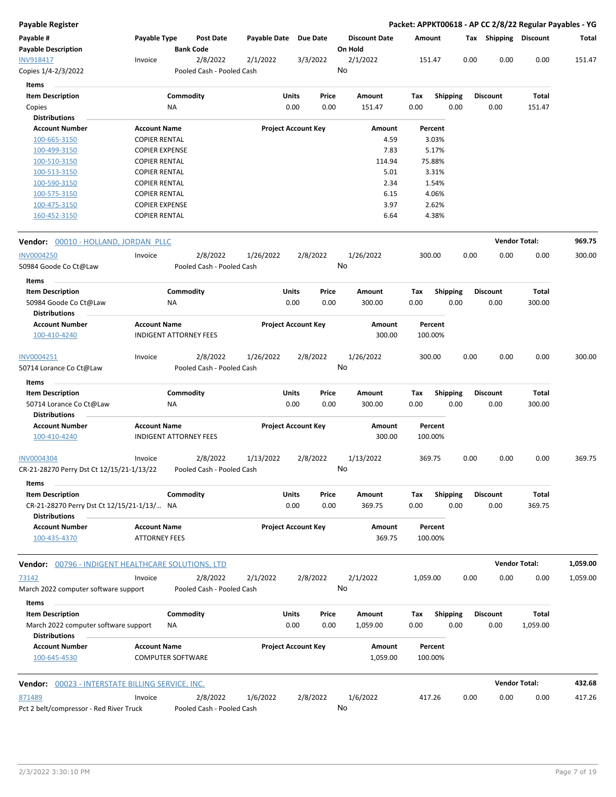| <b>Payable Register</b>                                            |                                                      |                 |                                       |                       |               |                            |                                 |             |                 |      |      |                         | Packet: APPKT00618 - AP CC 2/8/22 Regular Payables - YG |          |
|--------------------------------------------------------------------|------------------------------------------------------|-----------------|---------------------------------------|-----------------------|---------------|----------------------------|---------------------------------|-------------|-----------------|------|------|-------------------------|---------------------------------------------------------|----------|
| Payable #<br><b>Payable Description</b>                            | Payable Type                                         |                 | <b>Post Date</b><br><b>Bank Code</b>  | Payable Date Due Date |               |                            | <b>Discount Date</b><br>On Hold | Amount      |                 |      |      | Tax Shipping Discount   |                                                         | Total    |
| INV918417<br>Copies 1/4-2/3/2022                                   | Invoice                                              |                 | 2/8/2022<br>Pooled Cash - Pooled Cash | 2/1/2022              |               | 3/3/2022                   | 2/1/2022<br>No                  | 151.47      |                 |      | 0.00 | 0.00                    | 0.00                                                    | 151.47   |
|                                                                    |                                                      |                 |                                       |                       |               |                            |                                 |             |                 |      |      |                         |                                                         |          |
| Items                                                              |                                                      |                 |                                       |                       |               |                            |                                 |             |                 |      |      |                         |                                                         |          |
| <b>Item Description</b>                                            |                                                      | Commodity       |                                       |                       | Units         | Price                      | Amount                          | Tax         | <b>Shipping</b> |      |      | <b>Discount</b>         | Total                                                   |          |
| Copies                                                             |                                                      | NA              |                                       |                       | 0.00          | 0.00                       | 151.47                          | 0.00        |                 | 0.00 |      | 0.00                    | 151.47                                                  |          |
| <b>Distributions</b><br><b>Account Number</b>                      | <b>Account Name</b>                                  |                 |                                       |                       |               | <b>Project Account Key</b> | Amount                          |             | Percent         |      |      |                         |                                                         |          |
| 100-665-3150                                                       | <b>COPIER RENTAL</b>                                 |                 |                                       |                       |               |                            | 4.59                            |             | 3.03%           |      |      |                         |                                                         |          |
| 100-499-3150                                                       | <b>COPIER EXPENSE</b>                                |                 |                                       |                       |               |                            | 7.83                            |             | 5.17%           |      |      |                         |                                                         |          |
| 100-510-3150                                                       | <b>COPIER RENTAL</b>                                 |                 |                                       |                       |               |                            | 114.94                          |             | 75.88%          |      |      |                         |                                                         |          |
| 100-513-3150                                                       | <b>COPIER RENTAL</b>                                 |                 |                                       |                       |               |                            | 5.01                            |             | 3.31%           |      |      |                         |                                                         |          |
| 100-590-3150                                                       | <b>COPIER RENTAL</b>                                 |                 |                                       |                       |               |                            | 2.34                            |             | 1.54%           |      |      |                         |                                                         |          |
| 100-575-3150                                                       | <b>COPIER RENTAL</b>                                 |                 |                                       |                       |               |                            | 6.15                            |             | 4.06%           |      |      |                         |                                                         |          |
| 100-475-3150                                                       | <b>COPIER EXPENSE</b>                                |                 |                                       |                       |               |                            | 3.97                            |             | 2.62%           |      |      |                         |                                                         |          |
| 160-452-3150                                                       | <b>COPIER RENTAL</b>                                 |                 |                                       |                       |               |                            | 6.64                            |             | 4.38%           |      |      |                         |                                                         |          |
| Vendor: 00010 - HOLLAND, JORDAN PLLC                               |                                                      |                 |                                       |                       |               |                            |                                 |             |                 |      |      |                         | <b>Vendor Total:</b>                                    | 969.75   |
| <b>INV0004250</b>                                                  | Invoice                                              |                 | 2/8/2022                              | 1/26/2022             |               | 2/8/2022                   | 1/26/2022                       | 300.00      |                 |      | 0.00 | 0.00                    | 0.00                                                    | 300.00   |
| 50984 Goode Co Ct@Law                                              |                                                      |                 | Pooled Cash - Pooled Cash             |                       |               |                            | No                              |             |                 |      |      |                         |                                                         |          |
|                                                                    |                                                      |                 |                                       |                       |               |                            |                                 |             |                 |      |      |                         |                                                         |          |
| Items                                                              |                                                      |                 |                                       |                       |               |                            |                                 |             |                 |      |      |                         |                                                         |          |
| <b>Item Description</b>                                            |                                                      | Commodity       |                                       |                       | Units         | Price                      | Amount                          | Tax         | <b>Shipping</b> |      |      | <b>Discount</b>         | Total                                                   |          |
| 50984 Goode Co Ct@Law                                              |                                                      | ΝA              |                                       |                       | 0.00          | 0.00                       | 300.00                          | 0.00        |                 | 0.00 |      | 0.00                    | 300.00                                                  |          |
| <b>Distributions</b>                                               |                                                      |                 |                                       |                       |               |                            |                                 |             |                 |      |      |                         |                                                         |          |
| <b>Account Number</b><br>100-410-4240                              | <b>Account Name</b><br><b>INDIGENT ATTORNEY FEES</b> |                 |                                       |                       |               | <b>Project Account Key</b> | Amount<br>300.00                | 100.00%     | Percent         |      |      |                         |                                                         |          |
| INV0004251                                                         | Invoice                                              |                 | 2/8/2022                              | 1/26/2022             |               | 2/8/2022                   | 1/26/2022                       | 300.00      |                 |      | 0.00 | 0.00                    | 0.00                                                    | 300.00   |
| 50714 Lorance Co Ct@Law                                            |                                                      |                 | Pooled Cash - Pooled Cash             |                       |               |                            | No                              |             |                 |      |      |                         |                                                         |          |
| Items                                                              |                                                      |                 |                                       |                       |               |                            |                                 |             |                 |      |      |                         |                                                         |          |
| <b>Item Description</b>                                            |                                                      | Commodity       |                                       |                       | Units         | Price                      | Amount                          | Tax         | <b>Shipping</b> |      |      | <b>Discount</b>         | <b>Total</b>                                            |          |
| 50714 Lorance Co Ct@Law<br><b>Distributions</b>                    |                                                      | ΝA              |                                       |                       | 0.00          | 0.00                       | 300.00                          | 0.00        |                 | 0.00 |      | 0.00                    | 300.00                                                  |          |
| <b>Account Number</b>                                              | <b>Account Name</b>                                  |                 |                                       |                       |               | <b>Project Account Key</b> | Amount                          |             | Percent         |      |      |                         |                                                         |          |
| 100-410-4240                                                       | <b>INDIGENT ATTORNEY FEES</b>                        |                 |                                       |                       |               |                            | 300.00                          | 100.00%     |                 |      |      |                         |                                                         |          |
| INV0004304<br>CR-21-28270 Perry Dst Ct 12/15/21-1/13/22            | Invoice                                              |                 | 2/8/2022<br>Pooled Cash - Pooled Cash | 1/13/2022             |               | 2/8/2022                   | 1/13/2022<br>No                 | 369.75      |                 |      | 0.00 | 0.00                    | 0.00                                                    | 369.75   |
| Items                                                              |                                                      |                 |                                       |                       |               |                            |                                 |             |                 |      |      |                         |                                                         |          |
| <b>Item Description</b>                                            |                                                      | Commodity       |                                       |                       | Units         | Price                      | Amount                          | Tax         | <b>Shipping</b> |      |      | <b>Discount</b>         | Total                                                   |          |
| CR-21-28270 Perry Dst Ct 12/15/21-1/13/ NA<br><b>Distributions</b> |                                                      |                 |                                       |                       | 0.00          | 0.00                       | 369.75                          | 0.00        |                 | 0.00 |      | 0.00                    | 369.75                                                  |          |
| <b>Account Number</b><br>100-435-4370                              | <b>Account Name</b><br><b>ATTORNEY FEES</b>          |                 |                                       |                       |               | <b>Project Account Key</b> | Amount<br>369.75                | 100.00%     | Percent         |      |      |                         |                                                         |          |
| <b>Vendor:</b> 00796 - INDIGENT HEALTHCARE SOLUTIONS, LTD          |                                                      |                 |                                       |                       |               |                            |                                 |             |                 |      |      |                         | <b>Vendor Total:</b>                                    | 1,059.00 |
|                                                                    |                                                      |                 |                                       |                       |               |                            |                                 |             |                 |      |      |                         |                                                         |          |
| 73142<br>March 2022 computer software support                      | Invoice                                              |                 | 2/8/2022<br>Pooled Cash - Pooled Cash | 2/1/2022              |               | 2/8/2022                   | 2/1/2022<br>No                  | 1,059.00    |                 |      | 0.00 | 0.00                    | 0.00                                                    | 1,059.00 |
| Items                                                              |                                                      |                 |                                       |                       |               |                            |                                 |             |                 |      |      |                         |                                                         |          |
| <b>Item Description</b><br>March 2022 computer software support    |                                                      | Commodity<br>ΝA |                                       |                       | Units<br>0.00 | Price<br>0.00              | Amount<br>1,059.00              | Tax<br>0.00 | <b>Shipping</b> | 0.00 |      | <b>Discount</b><br>0.00 | Total<br>1,059.00                                       |          |
| <b>Distributions</b><br><b>Account Number</b>                      | <b>Account Name</b>                                  |                 |                                       |                       |               | <b>Project Account Key</b> |                                 |             |                 |      |      |                         |                                                         |          |
| 100-645-4530                                                       | <b>COMPUTER SOFTWARE</b>                             |                 |                                       |                       |               |                            | Amount<br>1,059.00              | 100.00%     | Percent         |      |      |                         |                                                         |          |
| <b>Vendor:</b> 00023 - INTERSTATE BILLING SERVICE, INC.            |                                                      |                 |                                       |                       |               |                            |                                 |             |                 |      |      |                         | <b>Vendor Total:</b>                                    | 432.68   |
| 871489                                                             | Invoice                                              |                 | 2/8/2022                              | 1/6/2022              |               | 2/8/2022                   | 1/6/2022                        | 417.26      |                 |      | 0.00 | 0.00                    | 0.00                                                    | 417.26   |
| Pct 2 belt/compressor - Red River Truck                            |                                                      |                 | Pooled Cash - Pooled Cash             |                       |               |                            | No                              |             |                 |      |      |                         |                                                         |          |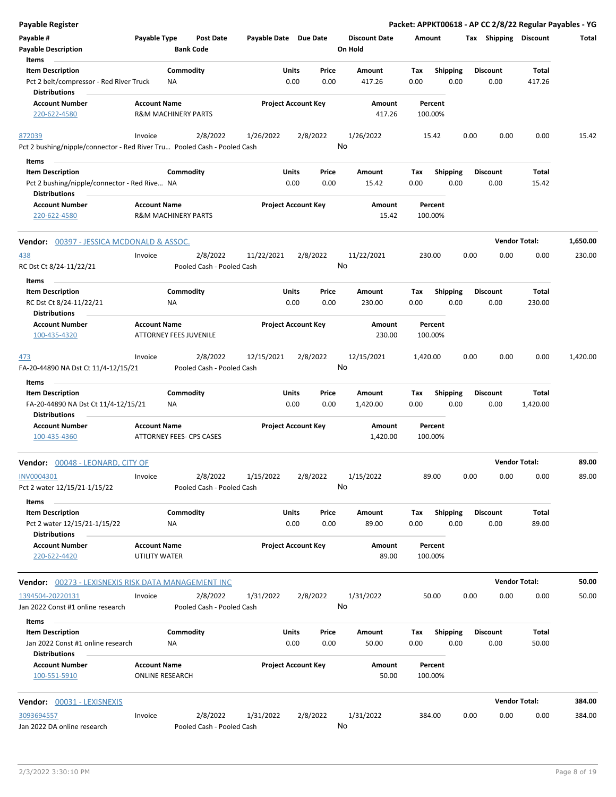| <b>Payable Register</b>                                                                    |                                      |                                 |                                       |                       |                            |               |                                 |             |                         |      |                         | Packet: APPKT00618 - AP CC 2/8/22 Regular Payables - YG |          |
|--------------------------------------------------------------------------------------------|--------------------------------------|---------------------------------|---------------------------------------|-----------------------|----------------------------|---------------|---------------------------------|-------------|-------------------------|------|-------------------------|---------------------------------------------------------|----------|
| Payable #<br><b>Payable Description</b>                                                    | Payable Type                         | <b>Bank Code</b>                | <b>Post Date</b>                      | Payable Date Due Date |                            |               | <b>Discount Date</b><br>On Hold |             | Amount                  |      | Tax Shipping Discount   |                                                         | Total    |
| Items                                                                                      |                                      |                                 |                                       |                       |                            |               |                                 |             |                         |      |                         |                                                         |          |
| <b>Item Description</b><br>Pct 2 belt/compressor - Red River Truck<br><b>Distributions</b> |                                      | Commodity<br>NA                 |                                       |                       | Units<br>0.00              | Price<br>0.00 | Amount<br>417.26                | Tax<br>0.00 | Shipping<br>0.00        |      | <b>Discount</b><br>0.00 | Total<br>417.26                                         |          |
| <b>Account Number</b><br>220-622-4580                                                      | <b>Account Name</b>                  | <b>R&amp;M MACHINERY PARTS</b>  |                                       |                       | <b>Project Account Key</b> |               | Amount<br>417.26                |             | Percent<br>100.00%      |      |                         |                                                         |          |
| 872039<br>Pct 2 bushing/nipple/connector - Red River Tru Pooled Cash - Pooled Cash         | Invoice                              |                                 | 2/8/2022                              | 1/26/2022             |                            | 2/8/2022      | 1/26/2022<br>No                 |             | 15.42                   | 0.00 | 0.00                    | 0.00                                                    | 15.42    |
| Items                                                                                      |                                      |                                 |                                       |                       |                            |               |                                 |             |                         |      |                         |                                                         |          |
| <b>Item Description</b>                                                                    |                                      | Commodity                       |                                       |                       | Units                      | Price         | Amount                          | Tax         | <b>Shipping</b>         |      | <b>Discount</b>         | Total                                                   |          |
| Pct 2 bushing/nipple/connector - Red Rive NA<br><b>Distributions</b>                       |                                      |                                 |                                       |                       | 0.00                       | 0.00          | 15.42                           | 0.00        | 0.00                    |      | 0.00                    | 15.42                                                   |          |
| <b>Account Number</b><br>220-622-4580                                                      | <b>Account Name</b>                  | <b>R&amp;M MACHINERY PARTS</b>  |                                       |                       | <b>Project Account Key</b> |               | Amount<br>15.42                 |             | Percent<br>100.00%      |      |                         |                                                         |          |
| <b>Vendor: 00397 - JESSICA MCDONALD &amp; ASSOC.</b>                                       |                                      |                                 |                                       |                       |                            |               |                                 |             |                         |      | <b>Vendor Total:</b>    |                                                         | 1,650.00 |
| <u>438</u><br>RC Dst Ct 8/24-11/22/21                                                      | Invoice                              |                                 | 2/8/2022<br>Pooled Cash - Pooled Cash | 11/22/2021            |                            | 2/8/2022      | 11/22/2021<br>No                |             | 230.00                  | 0.00 | 0.00                    | 0.00                                                    | 230.00   |
| Items<br><b>Item Description</b>                                                           |                                      | Commodity                       |                                       |                       | Units                      | Price         | Amount                          | Tax         | <b>Shipping</b>         |      | <b>Discount</b>         | Total                                                   |          |
| RC Dst Ct 8/24-11/22/21<br><b>Distributions</b>                                            |                                      | ΝA                              |                                       |                       | 0.00                       | 0.00          | 230.00                          | 0.00        | 0.00                    |      | 0.00                    | 230.00                                                  |          |
| <b>Account Number</b><br>100-435-4320                                                      | <b>Account Name</b>                  | <b>ATTORNEY FEES JUVENILE</b>   |                                       |                       | <b>Project Account Key</b> |               | Amount<br>230.00                |             | Percent<br>100.00%      |      |                         |                                                         |          |
| 473<br>FA-20-44890 NA Dst Ct 11/4-12/15/21                                                 | Invoice                              |                                 | 2/8/2022<br>Pooled Cash - Pooled Cash | 12/15/2021            |                            | 2/8/2022      | 12/15/2021<br>No                | 1,420.00    |                         | 0.00 | 0.00                    | 0.00                                                    | 1,420.00 |
| Items                                                                                      |                                      |                                 |                                       |                       |                            |               |                                 |             |                         |      |                         |                                                         |          |
| <b>Item Description</b><br>FA-20-44890 NA Dst Ct 11/4-12/15/21<br><b>Distributions</b>     |                                      | Commodity<br>ΝA                 |                                       |                       | Units<br>0.00              | Price<br>0.00 | Amount<br>1,420.00              | Tax<br>0.00 | <b>Shipping</b><br>0.00 |      | <b>Discount</b><br>0.00 | Total<br>1,420.00                                       |          |
| <b>Account Number</b><br>100-435-4360                                                      | <b>Account Name</b>                  | <b>ATTORNEY FEES- CPS CASES</b> |                                       |                       | <b>Project Account Key</b> |               | Amount<br>1,420.00              |             | Percent<br>100.00%      |      |                         |                                                         |          |
| Vendor: 00048 - LEONARD, CITY OF                                                           |                                      |                                 |                                       |                       |                            |               |                                 |             |                         |      | <b>Vendor Total:</b>    |                                                         | 89.00    |
| INV0004301<br>Pct 2 water 12/15/21-1/15/22                                                 | Invoice                              |                                 | 2/8/2022<br>Pooled Cash - Pooled Cash | 1/15/2022             |                            | 2/8/2022      | 1/15/2022<br>No                 |             | 89.00                   | 0.00 | 0.00                    | 0.00                                                    | 89.00    |
| Items                                                                                      |                                      |                                 |                                       |                       |                            |               |                                 |             |                         |      |                         |                                                         |          |
| <b>Item Description</b><br>Pct 2 water 12/15/21-1/15/22<br><b>Distributions</b>            |                                      | Commodity<br>NA                 |                                       |                       | Units<br>0.00              | Price<br>0.00 | Amount<br>89.00                 | Tax<br>0.00 | Shipping<br>0.00        |      | <b>Discount</b><br>0.00 | Total<br>89.00                                          |          |
| <b>Account Number</b><br>220-622-4420                                                      | <b>Account Name</b><br>UTILITY WATER |                                 |                                       |                       | <b>Project Account Key</b> |               | Amount<br>89.00                 |             | Percent<br>100.00%      |      |                         |                                                         |          |
| <b>Vendor:</b> 00273 - LEXISNEXIS RISK DATA MANAGEMENT INC                                 |                                      |                                 |                                       |                       |                            |               |                                 |             |                         |      | <b>Vendor Total:</b>    |                                                         | 50.00    |
| 1394504-20220131<br>Jan 2022 Const #1 online research                                      | Invoice                              |                                 | 2/8/2022<br>Pooled Cash - Pooled Cash | 1/31/2022             |                            | 2/8/2022      | 1/31/2022<br>No                 |             | 50.00                   | 0.00 | 0.00                    | 0.00                                                    | 50.00    |
| Items                                                                                      |                                      |                                 |                                       |                       |                            |               |                                 |             |                         |      |                         |                                                         |          |
| <b>Item Description</b><br>Jan 2022 Const #1 online research<br><b>Distributions</b>       |                                      | Commodity<br>NA                 |                                       |                       | Units<br>0.00              | Price<br>0.00 | Amount<br>50.00                 | Tax<br>0.00 | <b>Shipping</b><br>0.00 |      | <b>Discount</b><br>0.00 | Total<br>50.00                                          |          |
| <b>Account Number</b><br>100-551-5910                                                      | <b>Account Name</b>                  | <b>ONLINE RESEARCH</b>          |                                       |                       | <b>Project Account Key</b> |               | Amount<br>50.00                 |             | Percent<br>100.00%      |      |                         |                                                         |          |
| Vendor: 00031 - LEXISNEXIS                                                                 |                                      |                                 |                                       |                       |                            |               |                                 |             |                         |      | <b>Vendor Total:</b>    |                                                         | 384.00   |
| 3093694557                                                                                 | Invoice                              |                                 | 2/8/2022                              | 1/31/2022             |                            | 2/8/2022      | 1/31/2022                       |             | 384.00                  | 0.00 | 0.00                    | 0.00                                                    | 384.00   |
| Jan 2022 DA online research                                                                |                                      |                                 | Pooled Cash - Pooled Cash             |                       |                            |               | No                              |             |                         |      |                         |                                                         |          |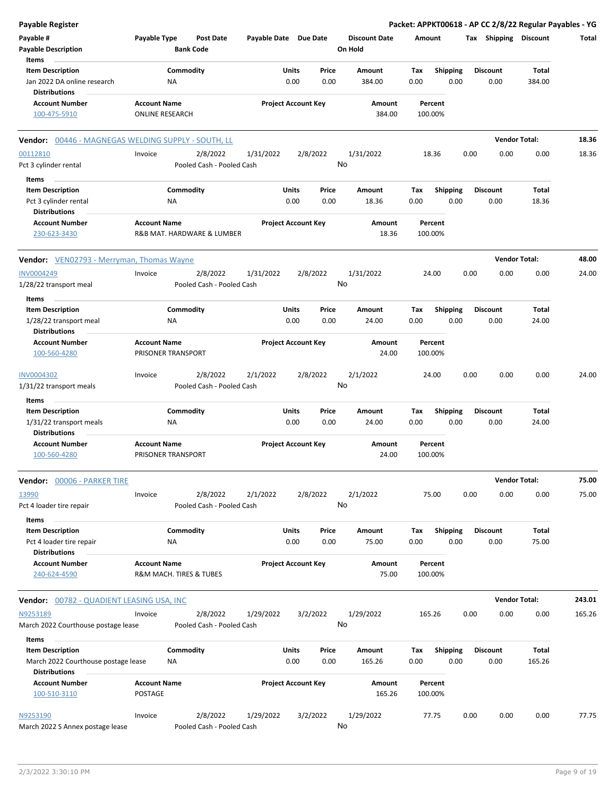| <b>Payable Register</b>                                                                |                        |                         |                                       |                       |                            |                |                      |             |                         |      |                         | Packet: APPKT00618 - AP CC 2/8/22 Regular Payables - YG |        |
|----------------------------------------------------------------------------------------|------------------------|-------------------------|---------------------------------------|-----------------------|----------------------------|----------------|----------------------|-------------|-------------------------|------|-------------------------|---------------------------------------------------------|--------|
| Payable #                                                                              | Payable Type           |                         | <b>Post Date</b>                      | Payable Date Due Date |                            |                | <b>Discount Date</b> | Amount      |                         |      | Tax Shipping Discount   |                                                         | Total  |
| <b>Payable Description</b>                                                             |                        | <b>Bank Code</b>        |                                       |                       |                            |                | On Hold              |             |                         |      |                         |                                                         |        |
| Items                                                                                  |                        |                         |                                       |                       |                            |                |                      |             |                         |      |                         |                                                         |        |
| <b>Item Description</b>                                                                |                        | Commodity               |                                       |                       | Units                      | Price          | Amount               | Tax         | <b>Shipping</b>         |      | <b>Discount</b>         | Total                                                   |        |
| Jan 2022 DA online research<br><b>Distributions</b>                                    |                        | <b>NA</b>               |                                       |                       | 0.00                       | 0.00           | 384.00               | 0.00        | 0.00                    |      | 0.00                    | 384.00                                                  |        |
| <b>Account Number</b>                                                                  | <b>Account Name</b>    |                         |                                       |                       | <b>Project Account Key</b> |                | Amount               |             | Percent                 |      |                         |                                                         |        |
| 100-475-5910                                                                           | <b>ONLINE RESEARCH</b> |                         |                                       |                       |                            |                | 384.00               |             | 100.00%                 |      |                         |                                                         |        |
| Vendor: 00446 - MAGNEGAS WELDING SUPPLY - SOUTH, LL                                    |                        |                         |                                       |                       |                            |                |                      |             |                         |      |                         | <b>Vendor Total:</b>                                    | 18.36  |
| 00112810                                                                               | Invoice                |                         | 2/8/2022                              | 1/31/2022             |                            | 2/8/2022       | 1/31/2022            |             | 18.36                   | 0.00 | 0.00                    | 0.00                                                    | 18.36  |
| Pct 3 cylinder rental                                                                  |                        |                         | Pooled Cash - Pooled Cash             |                       |                            | No             |                      |             |                         |      |                         |                                                         |        |
| Items<br><b>Item Description</b>                                                       |                        | Commodity               |                                       |                       | Units                      | Price          | Amount               | Tax         | <b>Shipping</b>         |      | <b>Discount</b>         | Total                                                   |        |
| Pct 3 cylinder rental                                                                  |                        | <b>NA</b>               |                                       |                       | 0.00                       | 0.00           | 18.36                | 0.00        | 0.00                    |      | 0.00                    | 18.36                                                   |        |
| <b>Distributions</b>                                                                   |                        |                         |                                       |                       |                            |                |                      |             |                         |      |                         |                                                         |        |
| <b>Account Number</b>                                                                  | <b>Account Name</b>    |                         |                                       |                       | <b>Project Account Key</b> |                | Amount               |             | Percent                 |      |                         |                                                         |        |
| 230-623-3430                                                                           |                        |                         | R&B MAT. HARDWARE & LUMBER            |                       |                            |                | 18.36                |             | 100.00%                 |      |                         |                                                         |        |
| <b>Vendor:</b> VEN02793 - Merryman, Thomas Wayne                                       |                        |                         |                                       |                       |                            |                |                      |             |                         |      |                         | <b>Vendor Total:</b>                                    | 48.00  |
| <b>INV0004249</b>                                                                      | Invoice                |                         | 2/8/2022                              | 1/31/2022             |                            | 2/8/2022       | 1/31/2022            |             | 24.00                   | 0.00 | 0.00                    | 0.00                                                    | 24.00  |
| 1/28/22 transport meal                                                                 |                        |                         | Pooled Cash - Pooled Cash             |                       |                            | No             |                      |             |                         |      |                         |                                                         |        |
| Items                                                                                  |                        |                         |                                       |                       |                            |                |                      |             |                         |      |                         |                                                         |        |
| <b>Item Description</b>                                                                |                        | Commodity               |                                       |                       | Units                      | Price          | Amount               | Tax         | <b>Shipping</b>         |      | <b>Discount</b>         | Total                                                   |        |
| 1/28/22 transport meal<br><b>Distributions</b>                                         |                        | ΝA                      |                                       |                       | 0.00                       | 0.00           | 24.00                | 0.00        | 0.00                    |      | 0.00                    | 24.00                                                   |        |
| <b>Account Number</b>                                                                  | <b>Account Name</b>    |                         |                                       |                       | <b>Project Account Key</b> |                | Amount               |             | Percent                 |      |                         |                                                         |        |
| 100-560-4280                                                                           |                        | PRISONER TRANSPORT      |                                       |                       |                            |                | 24.00                |             | 100.00%                 |      |                         |                                                         |        |
| INV0004302<br>1/31/22 transport meals                                                  | Invoice                |                         | 2/8/2022<br>Pooled Cash - Pooled Cash | 2/1/2022              |                            | 2/8/2022<br>No | 2/1/2022             |             | 24.00                   | 0.00 | 0.00                    | 0.00                                                    | 24.00  |
|                                                                                        |                        |                         |                                       |                       |                            |                |                      |             |                         |      |                         |                                                         |        |
| Items                                                                                  |                        |                         |                                       |                       |                            |                |                      |             |                         |      |                         |                                                         |        |
| <b>Item Description</b><br>1/31/22 transport meals<br><b>Distributions</b>             |                        | Commodity<br><b>NA</b>  |                                       |                       | Units<br>0.00              | Price<br>0.00  | Amount<br>24.00      | Tax<br>0.00 | <b>Shipping</b><br>0.00 |      | <b>Discount</b><br>0.00 | Total<br>24.00                                          |        |
| <b>Account Number</b>                                                                  | <b>Account Name</b>    |                         |                                       |                       | <b>Project Account Key</b> |                | Amount               |             | Percent                 |      |                         |                                                         |        |
| 100-560-4280                                                                           |                        | PRISONER TRANSPORT      |                                       |                       |                            |                | 24.00                |             | 100.00%                 |      |                         |                                                         |        |
| Vendor: 00006 - PARKER TIRE                                                            |                        |                         |                                       |                       |                            |                |                      |             |                         |      |                         | <b>Vendor Total:</b>                                    | 75.00  |
| 13990                                                                                  | Invoice                |                         | 2/8/2022                              | 2/1/2022              |                            | 2/8/2022       | 2/1/2022             |             | 75.00                   | 0.00 | 0.00                    | 0.00                                                    | 75.00  |
| Pct 4 loader tire repair<br><b>Items</b>                                               |                        |                         | Pooled Cash - Pooled Cash             |                       |                            | No             |                      |             |                         |      |                         |                                                         |        |
| <b>Item Description</b>                                                                |                        | Commodity               |                                       |                       | Units                      | Price          | Amount               | Tax         | <b>Shipping</b>         |      | <b>Discount</b>         | Total                                                   |        |
| Pct 4 loader tire repair<br><b>Distributions</b>                                       |                        | NA                      |                                       |                       | 0.00                       | 0.00           | 75.00                | 0.00        | 0.00                    |      | 0.00                    | 75.00                                                   |        |
| <b>Account Number</b>                                                                  | <b>Account Name</b>    |                         |                                       |                       | <b>Project Account Key</b> |                | Amount               |             | Percent                 |      |                         |                                                         |        |
| 240-624-4590                                                                           |                        | R&M MACH. TIRES & TUBES |                                       |                       |                            |                | 75.00                |             | 100.00%                 |      |                         |                                                         |        |
| <b>Vendor: 00782 - QUADIENT LEASING USA, INC</b>                                       |                        |                         |                                       |                       |                            |                |                      |             |                         |      |                         | <b>Vendor Total:</b>                                    | 243.01 |
| N9253189<br>March 2022 Courthouse postage lease                                        | Invoice                |                         | 2/8/2022<br>Pooled Cash - Pooled Cash | 1/29/2022             |                            | 3/2/2022<br>No | 1/29/2022            |             | 165.26                  | 0.00 | 0.00                    | 0.00                                                    | 165.26 |
|                                                                                        |                        |                         |                                       |                       |                            |                |                      |             |                         |      |                         |                                                         |        |
| Items                                                                                  |                        |                         |                                       |                       |                            |                |                      |             |                         |      |                         |                                                         |        |
| <b>Item Description</b><br>March 2022 Courthouse postage lease<br><b>Distributions</b> |                        | Commodity<br>NA         |                                       |                       | Units<br>0.00              | Price<br>0.00  | Amount<br>165.26     | Tax<br>0.00 | <b>Shipping</b><br>0.00 |      | <b>Discount</b><br>0.00 | Total<br>165.26                                         |        |
| <b>Account Number</b>                                                                  | <b>Account Name</b>    |                         |                                       |                       | <b>Project Account Key</b> |                | Amount               |             | Percent                 |      |                         |                                                         |        |
| 100-510-3110                                                                           | POSTAGE                |                         |                                       |                       |                            |                | 165.26               |             | 100.00%                 |      |                         |                                                         |        |
| N9253190<br>March 2022 S Annex postage lease                                           | Invoice                |                         | 2/8/2022<br>Pooled Cash - Pooled Cash | 1/29/2022             |                            | 3/2/2022<br>No | 1/29/2022            |             | 77.75                   | 0.00 | 0.00                    | 0.00                                                    | 77.75  |
|                                                                                        |                        |                         |                                       |                       |                            |                |                      |             |                         |      |                         |                                                         |        |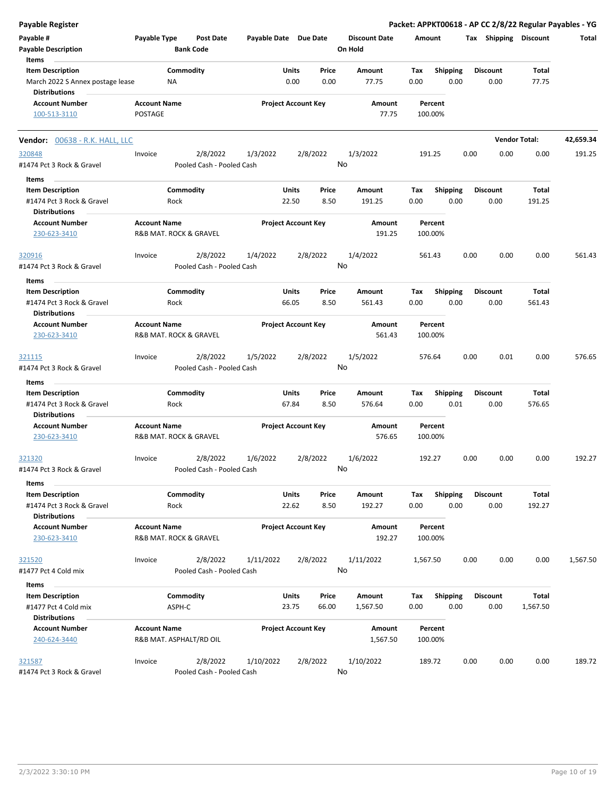| <b>Payable Register</b>                                  |                                                |                   |                                       |                       |                |                            |               |                      |             |                    |      |                         |                 | Packet: APPKT00618 - AP CC 2/8/22 Regular Payables - YG |
|----------------------------------------------------------|------------------------------------------------|-------------------|---------------------------------------|-----------------------|----------------|----------------------------|---------------|----------------------|-------------|--------------------|------|-------------------------|-----------------|---------------------------------------------------------|
| Payable #                                                | Payable Type                                   |                   | Post Date                             | Payable Date Due Date |                |                            |               | <b>Discount Date</b> | Amount      |                    |      | Tax Shipping Discount   |                 | Total                                                   |
| <b>Payable Description</b>                               |                                                | <b>Bank Code</b>  |                                       |                       |                |                            |               | On Hold              |             |                    |      |                         |                 |                                                         |
| Items                                                    |                                                |                   |                                       |                       |                |                            |               |                      |             |                    |      |                         |                 |                                                         |
| <b>Item Description</b>                                  |                                                | Commodity         |                                       |                       | Units          |                            | Price         | Amount               | Tax         | <b>Shipping</b>    |      | <b>Discount</b>         | Total           |                                                         |
| March 2022 S Annex postage lease<br><b>Distributions</b> |                                                | ΝA                |                                       |                       | 0.00           |                            | 0.00          | 77.75                | 0.00        | 0.00               |      | 0.00                    | 77.75           |                                                         |
| <b>Account Number</b>                                    | <b>Account Name</b>                            |                   |                                       |                       |                | <b>Project Account Key</b> |               | Amount               |             | Percent            |      |                         |                 |                                                         |
| 100-513-3110                                             | <b>POSTAGE</b>                                 |                   |                                       |                       |                |                            |               | 77.75                |             | 100.00%            |      |                         |                 |                                                         |
| Vendor: 00638 - R.K. HALL, LLC                           |                                                |                   |                                       |                       |                |                            |               |                      |             |                    |      | <b>Vendor Total:</b>    |                 | 42,659.34                                               |
| 320848                                                   | Invoice                                        |                   | 2/8/2022                              | 1/3/2022              |                | 2/8/2022                   |               | 1/3/2022             |             | 191.25             | 0.00 | 0.00                    | 0.00            | 191.25                                                  |
| #1474 Pct 3 Rock & Gravel                                |                                                |                   | Pooled Cash - Pooled Cash             |                       |                |                            |               | No                   |             |                    |      |                         |                 |                                                         |
| Items                                                    |                                                |                   |                                       |                       |                |                            |               |                      |             |                    |      |                         |                 |                                                         |
| <b>Item Description</b>                                  |                                                | Commodity         |                                       |                       | Units          |                            | Price         | Amount               | Tax         | <b>Shipping</b>    |      | <b>Discount</b>         | Total           |                                                         |
| #1474 Pct 3 Rock & Gravel<br><b>Distributions</b>        |                                                | Rock              |                                       |                       | 22.50          |                            | 8.50          | 191.25               | 0.00        | 0.00               |      | 0.00                    | 191.25          |                                                         |
| <b>Account Number</b>                                    | <b>Account Name</b>                            |                   |                                       |                       |                | <b>Project Account Key</b> |               | Amount               |             | Percent            |      |                         |                 |                                                         |
| 230-623-3410                                             | R&B MAT. ROCK & GRAVEL                         |                   |                                       |                       |                |                            |               | 191.25               |             | 100.00%            |      |                         |                 |                                                         |
| 320916                                                   | Invoice                                        |                   | 2/8/2022                              | 1/4/2022              |                | 2/8/2022                   |               | 1/4/2022             |             | 561.43             | 0.00 | 0.00                    | 0.00            | 561.43                                                  |
| #1474 Pct 3 Rock & Gravel                                |                                                |                   | Pooled Cash - Pooled Cash             |                       |                |                            |               | No                   |             |                    |      |                         |                 |                                                         |
|                                                          |                                                |                   |                                       |                       |                |                            |               |                      |             |                    |      |                         |                 |                                                         |
| Items                                                    |                                                |                   |                                       |                       |                |                            |               |                      |             |                    |      |                         |                 |                                                         |
| <b>Item Description</b>                                  |                                                | Commodity         |                                       |                       | Units          |                            | Price         | Amount               | Tax         | <b>Shipping</b>    |      | <b>Discount</b>         | Total           |                                                         |
| #1474 Pct 3 Rock & Gravel<br><b>Distributions</b>        |                                                | Rock              |                                       |                       | 66.05          |                            | 8.50          | 561.43               | 0.00        | 0.00               |      | 0.00                    | 561.43          |                                                         |
| <b>Account Number</b>                                    | <b>Account Name</b>                            |                   |                                       |                       |                | <b>Project Account Key</b> |               | Amount               |             | Percent            |      |                         |                 |                                                         |
| 230-623-3410                                             | R&B MAT. ROCK & GRAVEL                         |                   |                                       |                       |                |                            |               | 561.43               |             | 100.00%            |      |                         |                 |                                                         |
| 321115                                                   | Invoice                                        |                   | 2/8/2022                              | 1/5/2022              |                | 2/8/2022                   |               | 1/5/2022             |             | 576.64             | 0.00 | 0.01                    | 0.00            | 576.65                                                  |
| #1474 Pct 3 Rock & Gravel                                |                                                |                   | Pooled Cash - Pooled Cash             |                       |                |                            |               | No                   |             |                    |      |                         |                 |                                                         |
| Items                                                    |                                                |                   |                                       |                       |                |                            |               |                      |             |                    |      |                         |                 |                                                         |
| <b>Item Description</b>                                  |                                                | Commodity         |                                       |                       | Units          |                            | Price         | Amount               | Tax         | <b>Shipping</b>    |      | <b>Discount</b>         | Total           |                                                         |
| #1474 Pct 3 Rock & Gravel<br><b>Distributions</b>        |                                                | Rock              |                                       |                       | 67.84          |                            | 8.50          | 576.64               | 0.00        | 0.01               |      | 0.00                    | 576.65          |                                                         |
| <b>Account Number</b><br>230-623-3410                    | <b>Account Name</b><br>R&B MAT. ROCK & GRAVEL  |                   |                                       |                       |                | <b>Project Account Key</b> |               | Amount<br>576.65     |             | Percent<br>100.00% |      |                         |                 |                                                         |
| 321320<br>#1474 Pct 3 Rock & Gravel                      | Invoice                                        |                   | 2/8/2022<br>Pooled Cash - Pooled Cash | 1/6/2022              |                | 2/8/2022                   |               | 1/6/2022<br>No       |             | 192.27             | 0.00 | 0.00                    | 0.00            | 192.27                                                  |
| Items                                                    |                                                |                   |                                       |                       |                |                            |               |                      |             |                    |      |                         |                 |                                                         |
| <b>Item Description</b><br>#1474 Pct 3 Rock & Gravel     |                                                | Commodity<br>Rock |                                       |                       | Units<br>22.62 |                            | Price<br>8.50 | Amount<br>192.27     | Tax<br>0.00 | Shipping<br>0.00   |      | <b>Discount</b><br>0.00 | Total<br>192.27 |                                                         |
| <b>Distributions</b><br><b>Account Number</b>            | <b>Account Name</b>                            |                   |                                       |                       |                | <b>Project Account Key</b> |               | Amount               |             | Percent            |      |                         |                 |                                                         |
| 230-623-3410                                             | R&B MAT. ROCK & GRAVEL                         |                   |                                       |                       |                |                            |               | 192.27               |             | 100.00%            |      |                         |                 |                                                         |
| 321520                                                   | Invoice                                        |                   | 2/8/2022                              | 1/11/2022             |                | 2/8/2022                   |               | 1/11/2022            | 1,567.50    |                    | 0.00 | 0.00                    | 0.00            | 1,567.50                                                |
| #1477 Pct 4 Cold mix                                     |                                                |                   | Pooled Cash - Pooled Cash             |                       |                |                            |               | No                   |             |                    |      |                         |                 |                                                         |
| Items                                                    |                                                |                   |                                       |                       |                |                            |               |                      |             |                    |      |                         |                 |                                                         |
| <b>Item Description</b>                                  |                                                | Commodity         |                                       |                       | Units          |                            | Price         | Amount               | Tax         | Shipping           |      | <b>Discount</b>         | Total           |                                                         |
| #1477 Pct 4 Cold mix                                     |                                                | ASPH-C            |                                       |                       | 23.75          |                            | 66.00         | 1,567.50             | 0.00        | 0.00               |      | 0.00                    | 1,567.50        |                                                         |
| <b>Distributions</b>                                     |                                                |                   |                                       |                       |                |                            |               |                      |             |                    |      |                         |                 |                                                         |
| <b>Account Number</b><br>240-624-3440                    | <b>Account Name</b><br>R&B MAT. ASPHALT/RD OIL |                   |                                       |                       |                | <b>Project Account Key</b> |               | Amount<br>1,567.50   |             | Percent<br>100.00% |      |                         |                 |                                                         |
| 321587                                                   | Invoice                                        |                   | 2/8/2022                              | 1/10/2022             |                | 2/8/2022                   |               | 1/10/2022            |             | 189.72             | 0.00 | 0.00                    | 0.00            | 189.72                                                  |
| #1474 Pct 3 Rock & Gravel                                |                                                |                   | Pooled Cash - Pooled Cash             |                       |                |                            |               | No                   |             |                    |      |                         |                 |                                                         |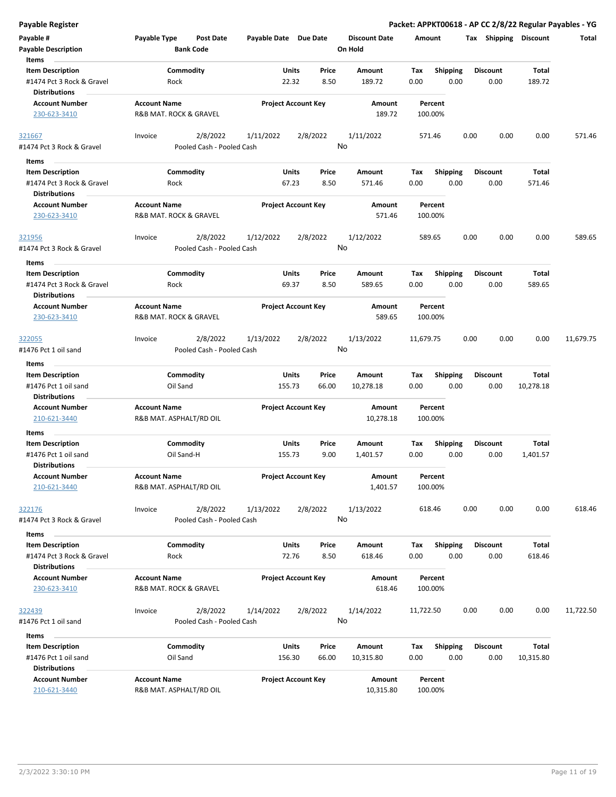| <b>Payable Register</b>                           |                                                |                                       |                       |                            |                      |           |                    |      |                 |                       | Packet: APPKT00618 - AP CC 2/8/22 Regular Payables - YG |
|---------------------------------------------------|------------------------------------------------|---------------------------------------|-----------------------|----------------------------|----------------------|-----------|--------------------|------|-----------------|-----------------------|---------------------------------------------------------|
| Payable #                                         | Payable Type                                   | <b>Post Date</b>                      | Payable Date Due Date |                            | <b>Discount Date</b> | Amount    |                    |      |                 | Tax Shipping Discount | Total                                                   |
| <b>Payable Description</b>                        |                                                | <b>Bank Code</b>                      |                       |                            | On Hold              |           |                    |      |                 |                       |                                                         |
| Items                                             |                                                |                                       |                       |                            |                      |           |                    |      |                 |                       |                                                         |
| <b>Item Description</b>                           |                                                | Commodity                             | Units                 | Price                      | Amount               | Tax       | <b>Shipping</b>    |      | <b>Discount</b> | Total                 |                                                         |
| #1474 Pct 3 Rock & Gravel<br><b>Distributions</b> | Rock                                           |                                       | 22.32                 | 8.50                       | 189.72               | 0.00      | 0.00               |      | 0.00            | 189.72                |                                                         |
| <b>Account Number</b>                             | <b>Account Name</b>                            |                                       |                       | <b>Project Account Key</b> | Amount               |           | Percent            |      |                 |                       |                                                         |
| 230-623-3410                                      | R&B MAT. ROCK & GRAVEL                         |                                       |                       |                            | 189.72               |           | 100.00%            |      |                 |                       |                                                         |
| 321667                                            | Invoice                                        | 2/8/2022                              | 1/11/2022             | 2/8/2022                   | 1/11/2022            |           | 571.46             | 0.00 | 0.00            | 0.00                  | 571.46                                                  |
| #1474 Pct 3 Rock & Gravel                         |                                                | Pooled Cash - Pooled Cash             |                       |                            | No                   |           |                    |      |                 |                       |                                                         |
| Items                                             |                                                |                                       |                       |                            |                      |           |                    |      |                 |                       |                                                         |
| <b>Item Description</b>                           |                                                | Commodity                             | Units                 | Price                      | Amount               | Tax       | <b>Shipping</b>    |      | <b>Discount</b> | Total                 |                                                         |
| #1474 Pct 3 Rock & Gravel                         | Rock                                           |                                       | 67.23                 | 8.50                       | 571.46               | 0.00      | 0.00               |      | 0.00            | 571.46                |                                                         |
| <b>Distributions</b>                              |                                                |                                       |                       |                            |                      |           |                    |      |                 |                       |                                                         |
| <b>Account Number</b><br>230-623-3410             | <b>Account Name</b><br>R&B MAT. ROCK & GRAVEL  |                                       |                       | <b>Project Account Key</b> | Amount<br>571.46     |           | Percent<br>100.00% |      |                 |                       |                                                         |
| 321956                                            | Invoice                                        | 2/8/2022                              | 1/12/2022             | 2/8/2022                   | 1/12/2022            |           | 589.65             | 0.00 | 0.00            | 0.00                  | 589.65                                                  |
| #1474 Pct 3 Rock & Gravel                         |                                                | Pooled Cash - Pooled Cash             |                       |                            | No                   |           |                    |      |                 |                       |                                                         |
| Items                                             |                                                |                                       |                       |                            |                      |           |                    |      |                 |                       |                                                         |
| <b>Item Description</b>                           |                                                | Commodity                             | Units                 | Price                      | Amount               | Tax       | <b>Shipping</b>    |      | <b>Discount</b> | Total                 |                                                         |
| #1474 Pct 3 Rock & Gravel                         | Rock                                           |                                       | 69.37                 | 8.50                       | 589.65               | 0.00      | 0.00               |      | 0.00            | 589.65                |                                                         |
| <b>Distributions</b>                              |                                                |                                       |                       |                            |                      |           |                    |      |                 |                       |                                                         |
| <b>Account Number</b>                             | <b>Account Name</b>                            |                                       |                       | <b>Project Account Key</b> | Amount               |           | Percent            |      |                 |                       |                                                         |
| 230-623-3410                                      | R&B MAT. ROCK & GRAVEL                         |                                       |                       |                            | 589.65               |           | 100.00%            |      |                 |                       |                                                         |
| 322055                                            | Invoice                                        | 2/8/2022                              | 1/13/2022             | 2/8/2022                   | 1/13/2022            | 11,679.75 |                    | 0.00 | 0.00            | 0.00                  | 11,679.75                                               |
| #1476 Pct 1 oil sand<br>Items                     |                                                | Pooled Cash - Pooled Cash             |                       |                            | No                   |           |                    |      |                 |                       |                                                         |
| <b>Item Description</b>                           |                                                | Commodity                             | <b>Units</b>          | Price                      | Amount               | Tax       | <b>Shipping</b>    |      | <b>Discount</b> | <b>Total</b>          |                                                         |
|                                                   |                                                |                                       | 155.73                | 66.00                      | 10,278.18            | 0.00      | 0.00               |      | 0.00            | 10,278.18             |                                                         |
| #1476 Pct 1 oil sand<br><b>Distributions</b>      | Oil Sand                                       |                                       |                       |                            |                      |           |                    |      |                 |                       |                                                         |
| <b>Account Number</b>                             | <b>Account Name</b>                            |                                       |                       | <b>Project Account Key</b> | Amount               |           | Percent            |      |                 |                       |                                                         |
| 210-621-3440                                      | R&B MAT. ASPHALT/RD OIL                        |                                       |                       |                            | 10,278.18            |           | 100.00%            |      |                 |                       |                                                         |
|                                                   |                                                |                                       |                       |                            |                      |           |                    |      |                 |                       |                                                         |
| Items                                             |                                                |                                       |                       |                            |                      |           |                    |      |                 |                       |                                                         |
| <b>Item Description</b>                           |                                                | Commodity                             | Units                 | Price                      | Amount               | Tax       | <b>Shipping</b>    |      | <b>Discount</b> | <b>Total</b>          |                                                         |
| #1476 Pct 1 oil sand<br><b>Distributions</b>      | Oil Sand-H                                     |                                       | 155.73                | 9.00                       | 1,401.57             | 0.00      | 0.00               |      | 0.00            | 1,401.57              |                                                         |
| <b>Account Number</b><br>210-621-3440             | <b>Account Name</b><br>R&B MAT. ASPHALT/RD OIL |                                       |                       | <b>Project Account Key</b> | Amount<br>1,401.57   |           | Percent<br>100.00% |      |                 |                       |                                                         |
|                                                   |                                                |                                       |                       |                            |                      |           |                    |      |                 |                       |                                                         |
| 322176<br>#1474 Pct 3 Rock & Gravel               | Invoice                                        | 2/8/2022<br>Pooled Cash - Pooled Cash | 1/13/2022             | 2/8/2022                   | 1/13/2022<br>No      |           | 618.46             | 0.00 | 0.00            | 0.00                  | 618.46                                                  |
| Items                                             |                                                |                                       |                       |                            |                      |           |                    |      |                 |                       |                                                         |
| <b>Item Description</b>                           |                                                | Commodity                             | Units                 | Price                      | Amount               | Tax       | <b>Shipping</b>    |      | <b>Discount</b> | <b>Total</b>          |                                                         |
| #1474 Pct 3 Rock & Gravel                         | Rock                                           |                                       | 72.76                 | 8.50                       | 618.46               | 0.00      | 0.00               |      | 0.00            | 618.46                |                                                         |
| <b>Distributions</b>                              |                                                |                                       |                       |                            |                      |           |                    |      |                 |                       |                                                         |
| <b>Account Number</b>                             | <b>Account Name</b>                            |                                       |                       | <b>Project Account Key</b> | Amount               |           | Percent            |      |                 |                       |                                                         |
| 230-623-3410                                      | R&B MAT. ROCK & GRAVEL                         |                                       |                       |                            | 618.46               |           | 100.00%            |      |                 |                       |                                                         |
| 322439                                            | Invoice                                        | 2/8/2022                              | 1/14/2022             | 2/8/2022                   | 1/14/2022            | 11,722.50 |                    | 0.00 | 0.00            | 0.00                  | 11,722.50                                               |
| #1476 Pct 1 oil sand                              |                                                | Pooled Cash - Pooled Cash             |                       |                            | No                   |           |                    |      |                 |                       |                                                         |
| Items                                             |                                                |                                       |                       |                            |                      |           |                    |      |                 |                       |                                                         |
| <b>Item Description</b>                           |                                                | Commodity                             | Units                 | Price                      | Amount               | Tax       | <b>Shipping</b>    |      | <b>Discount</b> | Total                 |                                                         |
| #1476 Pct 1 oil sand                              | Oil Sand                                       |                                       | 156.30                | 66.00                      | 10,315.80            | 0.00      | 0.00               |      | 0.00            | 10,315.80             |                                                         |
| <b>Distributions</b>                              |                                                |                                       |                       |                            |                      |           |                    |      |                 |                       |                                                         |
| <b>Account Number</b>                             | <b>Account Name</b>                            |                                       |                       | <b>Project Account Key</b> | Amount               |           | Percent            |      |                 |                       |                                                         |
| 210-621-3440                                      | R&B MAT. ASPHALT/RD OIL                        |                                       |                       |                            | 10,315.80            |           | 100.00%            |      |                 |                       |                                                         |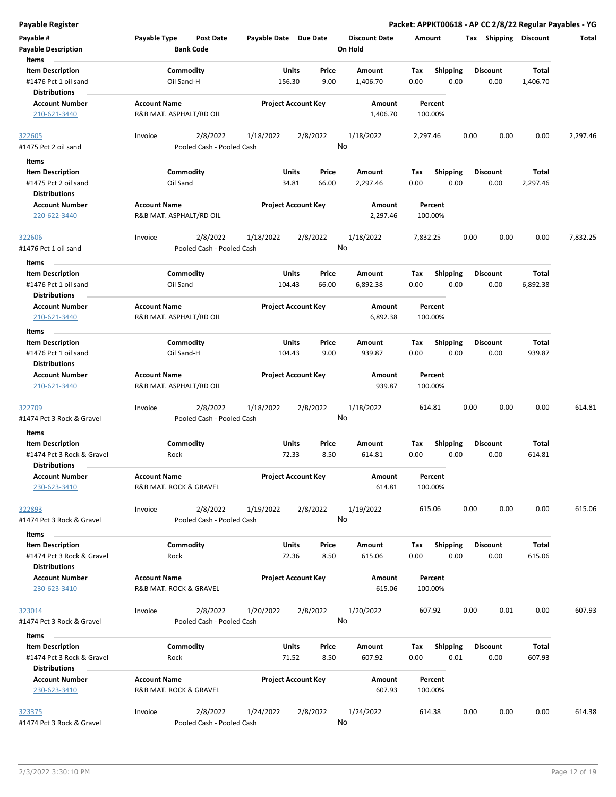**Payable Register Packet: APPKT00618 - AP CC 2/8/22 Regular Payables - YG**

| Payable #                                         | Payable Type                                   | <b>Post Date</b>                      | Payable Date Due Date |                            | <b>Discount Date</b> | Amount             |                 |                 | Tax Shipping    | Discount     | Total    |
|---------------------------------------------------|------------------------------------------------|---------------------------------------|-----------------------|----------------------------|----------------------|--------------------|-----------------|-----------------|-----------------|--------------|----------|
| <b>Payable Description</b><br>Items               |                                                | <b>Bank Code</b>                      |                       |                            | On Hold              |                    |                 |                 |                 |              |          |
| <b>Item Description</b>                           |                                                | Commodity                             |                       | Units<br>Price             | Amount               | Тах                | <b>Shipping</b> | <b>Discount</b> |                 | <b>Total</b> |          |
| #1476 Pct 1 oil sand<br><b>Distributions</b>      |                                                | Oil Sand-H                            | 156.30                | 9.00                       | 1,406.70             | 0.00               | 0.00            |                 | 0.00            | 1,406.70     |          |
| <b>Account Number</b>                             | <b>Account Name</b>                            |                                       |                       | <b>Project Account Key</b> | Amount               | Percent            |                 |                 |                 |              |          |
| 210-621-3440                                      | R&B MAT. ASPHALT/RD OIL                        |                                       |                       |                            | 1,406.70             | 100.00%            |                 |                 |                 |              |          |
| 322605<br>#1475 Pct 2 oil sand                    | Invoice                                        | 2/8/2022<br>Pooled Cash - Pooled Cash | 1/18/2022             | 2/8/2022                   | 1/18/2022<br>No      | 2,297.46           |                 | 0.00            | 0.00            | 0.00         | 2,297.46 |
|                                                   |                                                |                                       |                       |                            |                      |                    |                 |                 |                 |              |          |
| Items                                             |                                                |                                       |                       |                            |                      |                    |                 |                 |                 |              |          |
| <b>Item Description</b>                           |                                                | Commodity                             |                       | Units<br>Price<br>66.00    | Amount               | Tax                | <b>Shipping</b> | <b>Discount</b> |                 | Total        |          |
| #1475 Pct 2 oil sand<br><b>Distributions</b>      | Oil Sand                                       |                                       | 34.81                 |                            | 2,297.46             | 0.00               | 0.00            |                 | 0.00            | 2,297.46     |          |
| <b>Account Number</b><br>220-622-3440             | <b>Account Name</b><br>R&B MAT. ASPHALT/RD OIL |                                       |                       | <b>Project Account Key</b> | Amount<br>2,297.46   | Percent<br>100.00% |                 |                 |                 |              |          |
| <u>322606</u>                                     | Invoice                                        | 2/8/2022                              | 1/18/2022             | 2/8/2022                   | 1/18/2022            | 7,832.25           |                 | 0.00            | 0.00            | 0.00         | 7,832.25 |
| #1476 Pct 1 oil sand                              |                                                | Pooled Cash - Pooled Cash             |                       |                            | No                   |                    |                 |                 |                 |              |          |
| Items                                             |                                                |                                       |                       |                            |                      |                    |                 |                 |                 |              |          |
| <b>Item Description</b>                           |                                                | Commodity                             |                       | Price<br>Units             | <b>Amount</b>        | Tax                | <b>Shipping</b> | <b>Discount</b> |                 | Total        |          |
| #1476 Pct 1 oil sand<br><b>Distributions</b>      | Oil Sand                                       |                                       | 104.43                | 66.00                      | 6,892.38             | 0.00               | 0.00            |                 | 0.00            | 6,892.38     |          |
| <b>Account Number</b><br>210-621-3440             | <b>Account Name</b><br>R&B MAT. ASPHALT/RD OIL |                                       |                       | <b>Project Account Key</b> | Amount<br>6,892.38   | Percent<br>100.00% |                 |                 |                 |              |          |
| Items                                             |                                                |                                       |                       |                            |                      |                    |                 |                 |                 |              |          |
| <b>Item Description</b>                           |                                                | Commodity                             |                       | Units<br>Price             | Amount               | Тах                | <b>Shipping</b> | <b>Discount</b> |                 | Total        |          |
| #1476 Pct 1 oil sand<br><b>Distributions</b>      |                                                | Oil Sand-H                            | 104.43                | 9.00                       | 939.87               | 0.00               | 0.00            |                 | 0.00            | 939.87       |          |
| <b>Account Number</b>                             | <b>Account Name</b>                            |                                       |                       | <b>Project Account Key</b> | Amount               | Percent            |                 |                 |                 |              |          |
| 210-621-3440                                      | R&B MAT. ASPHALT/RD OIL                        |                                       |                       |                            | 939.87               | 100.00%            |                 |                 |                 |              |          |
| 322709                                            | Invoice                                        | 2/8/2022                              | 1/18/2022             | 2/8/2022                   | 1/18/2022            | 614.81             |                 | 0.00            | 0.00            | 0.00         | 614.81   |
| #1474 Pct 3 Rock & Gravel                         |                                                | Pooled Cash - Pooled Cash             |                       |                            | No                   |                    |                 |                 |                 |              |          |
| Items                                             |                                                |                                       |                       |                            |                      |                    |                 |                 |                 |              |          |
| <b>Item Description</b>                           |                                                | Commodity                             |                       | Units<br>Price             | Amount               | Tax                | <b>Shipping</b> | <b>Discount</b> |                 | Total        |          |
| #1474 Pct 3 Rock & Gravel<br><b>Distributions</b> | Rock                                           |                                       | 72.33                 | 8.50                       | 614.81               | 0.00               | 0.00            |                 | 0.00            | 614.81       |          |
| <b>Account Number</b>                             | <b>Account Name</b>                            |                                       |                       | <b>Project Account Key</b> | Amount               | Percent            |                 |                 |                 |              |          |
| 230-623-3410                                      | R&B MAT. ROCK & GRAVEL                         |                                       |                       |                            | 614.81               | 100.00%            |                 |                 |                 |              |          |
| 322893                                            | Invoice                                        | 2/8/2022                              | 1/19/2022             | 2/8/2022                   | 1/19/2022            | 615.06             |                 | 0.00            | 0.00            | 0.00         | 615.06   |
| #1474 Pct 3 Rock & Gravel                         |                                                | Pooled Cash - Pooled Cash             |                       |                            | No                   |                    |                 |                 |                 |              |          |
| <b>Items</b>                                      |                                                |                                       |                       |                            |                      |                    |                 |                 |                 |              |          |
| <b>Item Description</b>                           |                                                | Commodity                             |                       | Units<br>Price             | <b>Amount</b>        | Tax                | Shipping        |                 | <b>Discount</b> | Total        |          |
| #1474 Pct 3 Rock & Gravel<br><b>Distributions</b> | Rock                                           |                                       | 72.36                 | 8.50                       | 615.06               | 0.00               | 0.00            |                 | 0.00            | 615.06       |          |
| <b>Account Number</b><br>230-623-3410             | <b>Account Name</b><br>R&B MAT. ROCK & GRAVEL  |                                       |                       | <b>Project Account Key</b> | Amount<br>615.06     | Percent<br>100.00% |                 |                 |                 |              |          |
|                                                   |                                                |                                       |                       |                            |                      |                    |                 |                 |                 |              |          |
| 323014<br>#1474 Pct 3 Rock & Gravel               | Invoice                                        | 2/8/2022<br>Pooled Cash - Pooled Cash | 1/20/2022             | 2/8/2022                   | 1/20/2022<br>No      | 607.92             |                 | 0.00            | 0.01            | 0.00         | 607.93   |
| Items                                             |                                                |                                       |                       |                            |                      |                    |                 |                 |                 |              |          |
| <b>Item Description</b>                           |                                                | Commodity                             |                       | Units<br>Price             | Amount               | Tax                | <b>Shipping</b> |                 | <b>Discount</b> | Total        |          |
| #1474 Pct 3 Rock & Gravel                         | Rock                                           |                                       |                       | 71.52<br>8.50              | 607.92               | 0.00               | 0.01            |                 | 0.00            | 607.93       |          |
| <b>Distributions</b>                              | <b>Account Name</b>                            |                                       |                       |                            |                      |                    |                 |                 |                 |              |          |
| <b>Account Number</b><br>230-623-3410             | R&B MAT. ROCK & GRAVEL                         |                                       |                       | <b>Project Account Key</b> | Amount<br>607.93     | Percent<br>100.00% |                 |                 |                 |              |          |
| <u>323375</u>                                     | Invoice                                        | 2/8/2022                              | 1/24/2022             | 2/8/2022                   | 1/24/2022            | 614.38             |                 | 0.00            | 0.00            | 0.00         | 614.38   |
| #1474 Pct 3 Rock & Gravel                         |                                                | Pooled Cash - Pooled Cash             |                       |                            | No                   |                    |                 |                 |                 |              |          |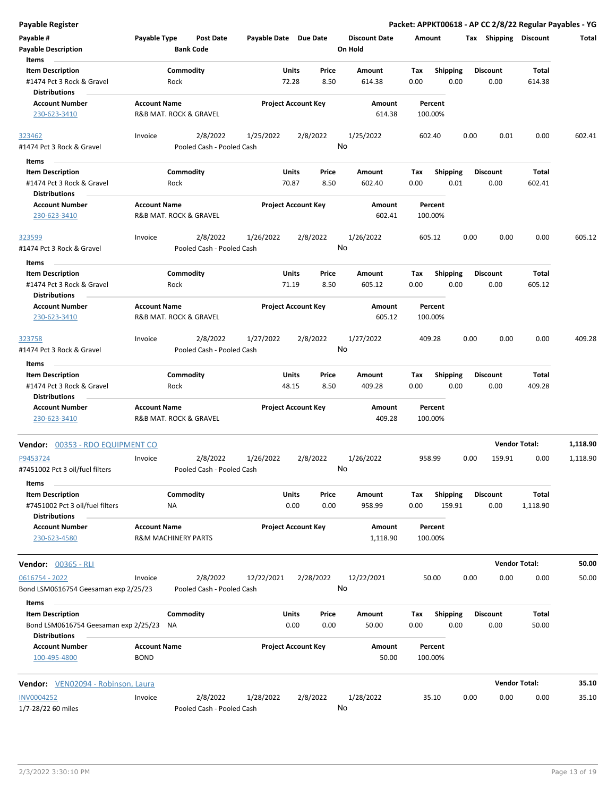| <b>Payable Description</b>                                         |                                    | <b>Bank Code</b>                      |            |                            |                | On Hold            |                    |                         |      |                         |                 |          |
|--------------------------------------------------------------------|------------------------------------|---------------------------------------|------------|----------------------------|----------------|--------------------|--------------------|-------------------------|------|-------------------------|-----------------|----------|
| Items                                                              |                                    |                                       |            |                            |                |                    |                    |                         |      |                         |                 |          |
| <b>Item Description</b>                                            |                                    | Commodity                             |            | Units                      | Price          | Amount             | Tax                | <b>Shipping</b>         |      | <b>Discount</b>         | Total           |          |
| #1474 Pct 3 Rock & Gravel<br><b>Distributions</b>                  |                                    | Rock                                  |            | 72.28                      | 8.50           | 614.38             | 0.00               | 0.00                    |      | 0.00                    | 614.38          |          |
| <b>Account Number</b>                                              | <b>Account Name</b>                |                                       |            | <b>Project Account Key</b> |                | Amount             | Percent            |                         |      |                         |                 |          |
| 230-623-3410                                                       |                                    | R&B MAT. ROCK & GRAVEL                |            |                            |                | 614.38             | 100.00%            |                         |      |                         |                 |          |
| 323462                                                             | Invoice                            | 2/8/2022                              | 1/25/2022  |                            | 2/8/2022       | 1/25/2022          | 602.40             |                         | 0.00 | 0.01                    | 0.00            | 602.41   |
| #1474 Pct 3 Rock & Gravel                                          |                                    | Pooled Cash - Pooled Cash             |            |                            | No             |                    |                    |                         |      |                         |                 |          |
| Items                                                              |                                    |                                       |            |                            |                |                    |                    |                         |      |                         |                 |          |
| <b>Item Description</b>                                            |                                    | Commodity                             |            | Units                      | Price          | <b>Amount</b>      | Tax                | <b>Shipping</b>         |      | <b>Discount</b>         | Total           |          |
| #1474 Pct 3 Rock & Gravel<br><b>Distributions</b>                  |                                    | Rock                                  |            | 70.87                      | 8.50           | 602.40             | 0.00               | 0.01                    |      | 0.00                    | 602.41          |          |
| <b>Account Number</b>                                              | <b>Account Name</b>                |                                       |            | <b>Project Account Key</b> |                | Amount             | Percent            |                         |      |                         |                 |          |
| 230-623-3410                                                       |                                    | R&B MAT. ROCK & GRAVEL                |            |                            |                | 602.41             | 100.00%            |                         |      |                         |                 |          |
| 323599                                                             | Invoice                            | 2/8/2022                              | 1/26/2022  |                            | 2/8/2022       | 1/26/2022          | 605.12             |                         | 0.00 | 0.00                    | 0.00            | 605.12   |
| #1474 Pct 3 Rock & Gravel                                          |                                    | Pooled Cash - Pooled Cash             |            |                            | No             |                    |                    |                         |      |                         |                 |          |
| Items                                                              |                                    | Commodity                             |            | Units                      | Price          | Amount             | Tax                | <b>Shipping</b>         |      | <b>Discount</b>         | Total           |          |
| <b>Item Description</b><br>#1474 Pct 3 Rock & Gravel               |                                    | Rock                                  |            | 71.19                      | 8.50           | 605.12             | 0.00               | 0.00                    |      | 0.00                    | 605.12          |          |
| <b>Distributions</b><br><b>Account Number</b>                      | <b>Account Name</b>                |                                       |            | <b>Project Account Key</b> |                | Amount             | Percent            |                         |      |                         |                 |          |
| 230-623-3410                                                       |                                    | R&B MAT. ROCK & GRAVEL                |            |                            |                | 605.12             | 100.00%            |                         |      |                         |                 |          |
| 323758                                                             | Invoice                            | 2/8/2022                              | 1/27/2022  |                            | 2/8/2022       | 1/27/2022          | 409.28             |                         | 0.00 | 0.00                    | 0.00            | 409.28   |
| #1474 Pct 3 Rock & Gravel                                          |                                    | Pooled Cash - Pooled Cash             |            |                            | No             |                    |                    |                         |      |                         |                 |          |
| Items                                                              |                                    |                                       |            |                            |                |                    |                    |                         |      |                         |                 |          |
| <b>Item Description</b><br>#1474 Pct 3 Rock & Gravel               |                                    | Commodity<br>Rock                     |            | Units<br>48.15             | Price<br>8.50  | Amount<br>409.28   | Tax<br>0.00        | <b>Shipping</b><br>0.00 |      | <b>Discount</b><br>0.00 | Total<br>409.28 |          |
| <b>Distributions</b>                                               |                                    |                                       |            |                            |                |                    |                    |                         |      |                         |                 |          |
| <b>Account Number</b><br>230-623-3410                              | <b>Account Name</b>                | R&B MAT. ROCK & GRAVEL                |            | <b>Project Account Key</b> |                | Amount<br>409.28   | Percent<br>100.00% |                         |      |                         |                 |          |
| Vendor: 00353 - RDO EQUIPMENT CO                                   |                                    |                                       |            |                            |                |                    |                    |                         |      | <b>Vendor Total:</b>    |                 | 1,118.90 |
| P9453724<br>#7451002 Pct 3 oil/fuel filters                        | Invoice                            | 2/8/2022<br>Pooled Cash - Pooled Cash | 1/26/2022  |                            | 2/8/2022<br>No | 1/26/2022          | 958.99             |                         | 0.00 | 159.91                  | 0.00            | 1,118.90 |
| Items                                                              |                                    |                                       |            |                            |                |                    |                    |                         |      |                         |                 |          |
| <b>Item Description</b>                                            |                                    | Commodity                             |            | Units                      | Price          | Amount             | Тах                | Shipping                |      | Discount                | Total           |          |
| #7451002 Pct 3 oil/fuel filters                                    |                                    | ΝA                                    |            | 0.00                       | 0.00           | 958.99             | 0.00               | 159.91                  |      | 0.00                    | 1,118.90        |          |
| <b>Distributions</b>                                               |                                    |                                       |            |                            |                |                    |                    |                         |      |                         |                 |          |
| <b>Account Number</b><br>230-623-4580                              | <b>Account Name</b>                | <b>R&amp;M MACHINERY PARTS</b>        |            | <b>Project Account Key</b> |                | Amount<br>1,118.90 | Percent<br>100.00% |                         |      |                         |                 |          |
| <b>Vendor: 00365 - RLI</b>                                         |                                    |                                       |            |                            |                |                    |                    |                         |      | <b>Vendor Total:</b>    |                 | 50.00    |
| 0616754 - 2022                                                     | Invoice                            | 2/8/2022                              | 12/22/2021 |                            | 2/28/2022      | 12/22/2021         | 50.00              |                         | 0.00 | 0.00                    | 0.00            | 50.00    |
| Bond LSM0616754 Geesaman exp 2/25/23                               |                                    | Pooled Cash - Pooled Cash             |            |                            |                | No                 |                    |                         |      |                         |                 |          |
| Items                                                              |                                    |                                       |            |                            |                |                    |                    |                         |      |                         |                 |          |
| <b>Item Description</b><br>Bond LSM0616754 Geesaman exp 2/25/23 NA |                                    | Commodity                             |            | Units<br>0.00              | Price<br>0.00  | Amount<br>50.00    | Tax<br>0.00        | <b>Shipping</b><br>0.00 |      | <b>Discount</b><br>0.00 | Total<br>50.00  |          |
| <b>Distributions</b>                                               |                                    |                                       |            |                            |                |                    |                    |                         |      |                         |                 |          |
| <b>Account Number</b><br>100-495-4800                              | <b>Account Name</b><br><b>BOND</b> |                                       |            | <b>Project Account Key</b> |                | Amount<br>50.00    | Percent<br>100.00% |                         |      |                         |                 |          |
| Vendor: VEN02094 - Robinson, Laura                                 |                                    |                                       |            |                            |                |                    |                    |                         |      | <b>Vendor Total:</b>    |                 | 35.10    |
| INV0004252                                                         | Invoice                            | 2/8/2022                              | 1/28/2022  |                            | 2/8/2022       | 1/28/2022          | 35.10              |                         | 0.00 | $0.00 -$                | 0.00            | 35.10    |

**Payable Register Packet: APPKT00618 - AP CC 2/8/22 Regular Payables - YG**

**Discount Date Amount Tax Shipping Discount Total**

**Payable # Payable Type Post Date Payable Date Due Date**

2/8/2022 1/28/2022 2/8/2022 1/7-28/22 60 miles Pooled Cash - Pooled Cash INV0004252 Invoice 1/28/2022 35.10 0.00 0.00 0.00 35.10 No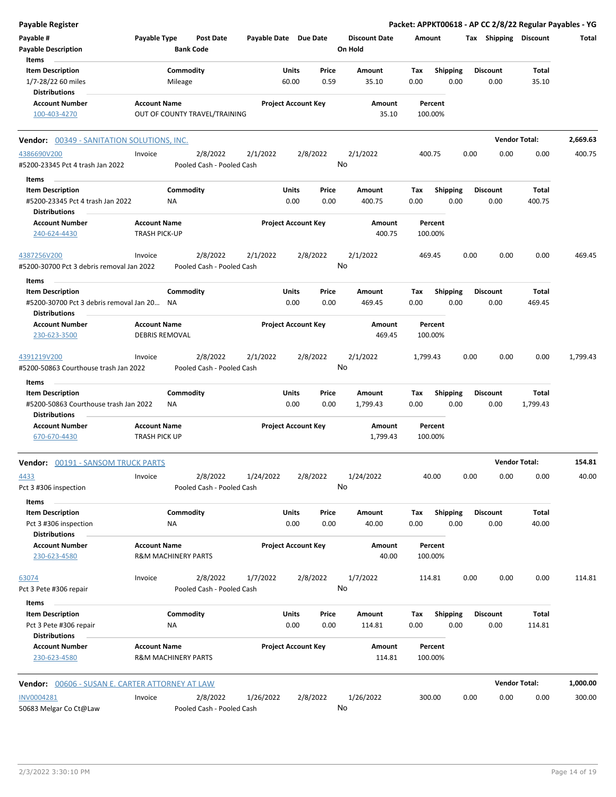| <b>Payable Register</b>                                         |                                             |                                |                                       |                       |               |                            |                                 |                    |             |                         |      |                         |                      | Packet: APPKT00618 - AP CC 2/8/22 Regular Payables - YG |
|-----------------------------------------------------------------|---------------------------------------------|--------------------------------|---------------------------------------|-----------------------|---------------|----------------------------|---------------------------------|--------------------|-------------|-------------------------|------|-------------------------|----------------------|---------------------------------------------------------|
| Payable #<br><b>Payable Description</b>                         | Payable Type                                | <b>Bank Code</b>               | <b>Post Date</b>                      | Payable Date Due Date |               |                            | <b>Discount Date</b><br>On Hold |                    | Amount      |                         |      | Tax Shipping Discount   |                      | Total                                                   |
| Items                                                           |                                             |                                |                                       |                       |               |                            |                                 |                    |             |                         |      |                         |                      |                                                         |
| <b>Item Description</b>                                         |                                             | Commodity                      |                                       |                       | Units         | Price                      | Amount                          |                    | Tax         | <b>Shipping</b>         |      | <b>Discount</b>         | Total                |                                                         |
| 1/7-28/22 60 miles                                              |                                             | Mileage                        |                                       |                       | 60.00         | 0.59                       | 35.10                           |                    | 0.00        | 0.00                    |      | 0.00                    | 35.10                |                                                         |
| <b>Distributions</b>                                            |                                             |                                |                                       |                       |               |                            |                                 |                    |             |                         |      |                         |                      |                                                         |
| <b>Account Number</b><br>100-403-4270                           | <b>Account Name</b>                         | OUT OF COUNTY TRAVEL/TRAINING  |                                       |                       |               | <b>Project Account Key</b> |                                 | Amount<br>35.10    |             | Percent<br>100.00%      |      |                         |                      |                                                         |
|                                                                 |                                             |                                |                                       |                       |               |                            |                                 |                    |             |                         |      |                         |                      |                                                         |
| Vendor: 00349 - SANITATION SOLUTIONS, INC.                      |                                             |                                |                                       |                       |               |                            |                                 |                    |             |                         |      |                         | <b>Vendor Total:</b> | 2,669.63                                                |
| 4386690V200<br>#5200-23345 Pct 4 trash Jan 2022                 | Invoice                                     |                                | 2/8/2022<br>Pooled Cash - Pooled Cash | 2/1/2022              |               | 2/8/2022                   | 2/1/2022<br>No                  |                    | 400.75      |                         | 0.00 | 0.00                    | 0.00                 | 400.75                                                  |
| Items                                                           |                                             |                                |                                       |                       |               |                            |                                 |                    |             |                         |      |                         |                      |                                                         |
| <b>Item Description</b>                                         |                                             | Commodity                      |                                       |                       | Units         | Price                      | Amount                          |                    | Tax         | <b>Shipping</b>         |      | <b>Discount</b>         | Total                |                                                         |
| #5200-23345 Pct 4 trash Jan 2022<br>Distributions               |                                             | NA                             |                                       |                       | 0.00          | 0.00                       | 400.75                          |                    | 0.00        | 0.00                    |      | 0.00                    | 400.75               |                                                         |
| <b>Account Number</b>                                           | <b>Account Name</b>                         |                                |                                       |                       |               | <b>Project Account Key</b> |                                 | Amount             |             | Percent                 |      |                         |                      |                                                         |
| 240-624-4430                                                    | TRASH PICK-UP                               |                                |                                       |                       |               |                            |                                 | 400.75             |             | 100.00%                 |      |                         |                      |                                                         |
| 4387256V200                                                     | Invoice                                     |                                | 2/8/2022                              | 2/1/2022              |               | 2/8/2022                   | 2/1/2022                        |                    | 469.45      |                         | 0.00 | 0.00                    | 0.00                 | 469.45                                                  |
| #5200-30700 Pct 3 debris removal Jan 2022                       |                                             |                                | Pooled Cash - Pooled Cash             |                       |               |                            | No                              |                    |             |                         |      |                         |                      |                                                         |
| Items                                                           |                                             |                                |                                       |                       |               |                            |                                 |                    |             |                         |      |                         |                      |                                                         |
| <b>Item Description</b>                                         |                                             | Commodity                      |                                       |                       | Units         | Price                      | Amount                          |                    | Tax         | <b>Shipping</b>         |      | <b>Discount</b>         | Total                |                                                         |
| #5200-30700 Pct 3 debris removal Jan 20<br><b>Distributions</b> |                                             | <b>NA</b>                      |                                       |                       | 0.00          | 0.00                       | 469.45                          |                    | 0.00        | 0.00                    |      | 0.00                    | 469.45               |                                                         |
| <b>Account Number</b>                                           | <b>Account Name</b>                         |                                |                                       |                       |               | <b>Project Account Key</b> |                                 | Amount             |             | Percent                 |      |                         |                      |                                                         |
| 230-623-3500                                                    | <b>DEBRIS REMOVAL</b>                       |                                |                                       |                       |               |                            |                                 | 469.45             |             | 100.00%                 |      |                         |                      |                                                         |
| 4391219V200                                                     | Invoice                                     |                                | 2/8/2022                              | 2/1/2022              |               | 2/8/2022                   | 2/1/2022                        |                    | 1,799.43    |                         | 0.00 | 0.00                    | 0.00                 | 1,799.43                                                |
| #5200-50863 Courthouse trash Jan 2022                           |                                             |                                | Pooled Cash - Pooled Cash             |                       |               |                            | No                              |                    |             |                         |      |                         |                      |                                                         |
| Items                                                           |                                             |                                |                                       |                       |               |                            |                                 |                    |             |                         |      |                         |                      |                                                         |
| <b>Item Description</b>                                         |                                             | Commodity                      |                                       |                       | Units         | Price                      | Amount                          |                    | Tax         | Shipping                |      | <b>Discount</b>         | Total                |                                                         |
| #5200-50863 Courthouse trash Jan 2022                           |                                             | NA                             |                                       |                       | 0.00          | 0.00                       | 1,799.43                        |                    | 0.00        | 0.00                    |      | 0.00                    | 1,799.43             |                                                         |
| <b>Distributions</b>                                            |                                             |                                |                                       |                       |               |                            |                                 |                    |             |                         |      |                         |                      |                                                         |
| <b>Account Number</b><br>670-670-4430                           | <b>Account Name</b><br><b>TRASH PICK UP</b> |                                |                                       |                       |               | <b>Project Account Key</b> |                                 | Amount<br>1,799.43 |             | Percent<br>100.00%      |      |                         |                      |                                                         |
|                                                                 |                                             |                                |                                       |                       |               |                            |                                 |                    |             |                         |      |                         | <b>Vendor Total:</b> | 154.81                                                  |
| <b>Vendor: 00191 - SANSOM TRUCK PARTS</b>                       |                                             |                                |                                       |                       |               |                            |                                 |                    |             |                         |      |                         |                      |                                                         |
| 4433<br>Pct 3 #306 inspection                                   | Invoice                                     |                                | 2/8/2022<br>Pooled Cash - Pooled Cash | 1/24/2022             |               | 2/8/2022                   | 1/24/2022<br>No                 |                    |             | 40.00                   | 0.00 | 0.00                    | 0.00                 | 40.00                                                   |
|                                                                 |                                             |                                |                                       |                       |               |                            |                                 |                    |             |                         |      |                         |                      |                                                         |
| Items                                                           |                                             |                                |                                       |                       |               |                            |                                 |                    |             |                         |      |                         |                      |                                                         |
| <b>Item Description</b><br>Pct 3 #306 inspection                |                                             | Commodity<br>ΝA                |                                       |                       | Units<br>0.00 | Price<br>0.00              | Amount<br>40.00                 |                    | Tax<br>0.00 | <b>Shipping</b><br>0.00 |      | <b>Discount</b><br>0.00 | Total<br>40.00       |                                                         |
| <b>Distributions</b>                                            |                                             |                                |                                       |                       |               |                            |                                 |                    |             |                         |      |                         |                      |                                                         |
| <b>Account Number</b>                                           | <b>Account Name</b>                         |                                |                                       |                       |               | <b>Project Account Key</b> |                                 | Amount             |             | Percent                 |      |                         |                      |                                                         |
| 230-623-4580                                                    |                                             | <b>R&amp;M MACHINERY PARTS</b> |                                       |                       |               |                            |                                 | 40.00              |             | 100.00%                 |      |                         |                      |                                                         |
| 63074                                                           | Invoice                                     |                                | 2/8/2022                              | 1/7/2022              |               | 2/8/2022                   | 1/7/2022                        |                    | 114.81      |                         | 0.00 | 0.00                    | 0.00                 | 114.81                                                  |
| Pct 3 Pete #306 repair                                          |                                             |                                | Pooled Cash - Pooled Cash             |                       |               |                            | No                              |                    |             |                         |      |                         |                      |                                                         |
| Items                                                           |                                             |                                |                                       |                       |               |                            |                                 |                    |             |                         |      |                         |                      |                                                         |
| <b>Item Description</b>                                         |                                             | Commodity                      |                                       |                       | Units         | Price                      | Amount                          |                    | Tax         | <b>Shipping</b>         |      | <b>Discount</b>         | Total                |                                                         |
| Pct 3 Pete #306 repair                                          |                                             | NA                             |                                       |                       | 0.00          | 0.00                       | 114.81                          |                    | 0.00        | 0.00                    |      | 0.00                    | 114.81               |                                                         |
| <b>Distributions</b>                                            |                                             |                                |                                       |                       |               |                            |                                 |                    |             |                         |      |                         |                      |                                                         |
| <b>Account Number</b><br>230-623-4580                           | <b>Account Name</b>                         | <b>R&amp;M MACHINERY PARTS</b> |                                       |                       |               | <b>Project Account Key</b> |                                 | Amount<br>114.81   |             | Percent<br>100.00%      |      |                         |                      |                                                         |
| <b>Vendor:</b> 00606 - SUSAN E. CARTER ATTORNEY AT LAW          |                                             |                                |                                       |                       |               |                            |                                 |                    |             |                         |      |                         | <b>Vendor Total:</b> | 1,000.00                                                |
|                                                                 |                                             |                                |                                       |                       |               |                            |                                 |                    |             |                         |      |                         |                      |                                                         |
| INV0004281<br>50683 Melgar Co Ct@Law                            | Invoice                                     |                                | 2/8/2022<br>Pooled Cash - Pooled Cash | 1/26/2022             |               | 2/8/2022                   | 1/26/2022<br>No                 |                    | 300.00      |                         | 0.00 | 0.00                    | 0.00                 | 300.00                                                  |
|                                                                 |                                             |                                |                                       |                       |               |                            |                                 |                    |             |                         |      |                         |                      |                                                         |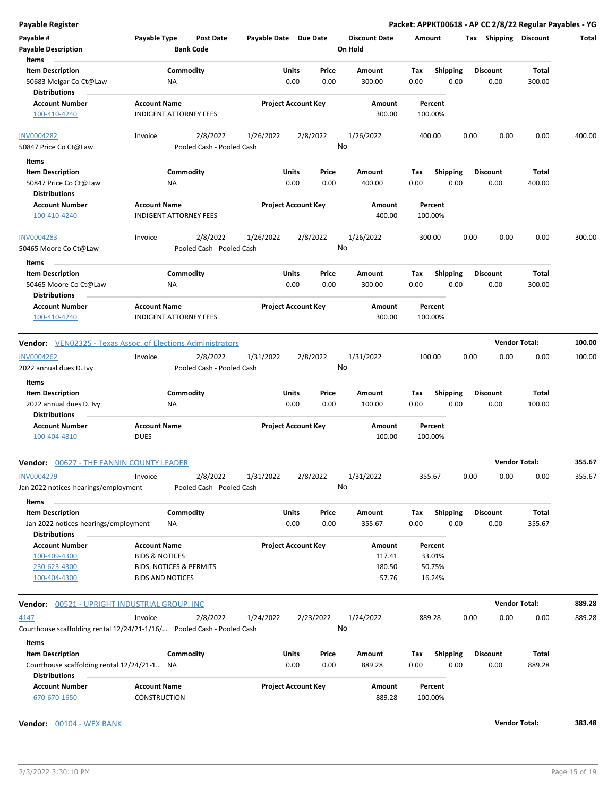| Payable #<br><b>Payable Description</b><br>Items                                              | Payable Type                                                                                           | Post Date<br><b>Bank Code</b>         | Payable Date Due Date |                                | <b>Discount Date</b><br>On Hold     | Amount                                |                         | <b>Shipping</b><br>Tax  | <b>Discount</b>        | Total  |
|-----------------------------------------------------------------------------------------------|--------------------------------------------------------------------------------------------------------|---------------------------------------|-----------------------|--------------------------------|-------------------------------------|---------------------------------------|-------------------------|-------------------------|------------------------|--------|
| <b>Item Description</b><br>50683 Melgar Co Ct@Law<br><b>Distributions</b>                     | <b>NA</b>                                                                                              | Commodity                             |                       | Units<br>Price<br>0.00<br>0.00 | Amount<br>300.00                    | Tax<br>0.00                           | Shipping<br>0.00        | Discount<br>0.00        | Total<br>300.00        |        |
| <b>Account Number</b><br>100-410-4240                                                         | <b>Account Name</b><br><b>INDIGENT ATTORNEY FEES</b>                                                   |                                       |                       | <b>Project Account Key</b>     | Amount<br>300.00                    | Percent<br>100.00%                    |                         |                         |                        |        |
| <b>INV0004282</b><br>50847 Price Co Ct@Law                                                    | Invoice                                                                                                | 2/8/2022<br>Pooled Cash - Pooled Cash | 1/26/2022             | 2/8/2022                       | 1/26/2022<br>No                     | 400.00                                |                         | 0.00                    | 0.00<br>0.00           | 400.00 |
| Items<br><b>Item Description</b><br>50847 Price Co Ct@Law<br><b>Distributions</b>             | ΝA                                                                                                     | Commodity                             |                       | Units<br>Price<br>0.00<br>0.00 | Amount<br>400.00                    | Tax<br>0.00                           | <b>Shipping</b><br>0.00 | <b>Discount</b><br>0.00 | Total<br>400.00        |        |
| <b>Account Number</b><br>100-410-4240                                                         | <b>Account Name</b><br><b>INDIGENT ATTORNEY FEES</b>                                                   |                                       |                       | <b>Project Account Key</b>     | Amount<br>400.00                    | Percent<br>100.00%                    |                         |                         |                        |        |
| <b>INV0004283</b><br>50465 Moore Co Ct@Law                                                    | Invoice                                                                                                | 2/8/2022<br>Pooled Cash - Pooled Cash | 1/26/2022             | 2/8/2022                       | 1/26/2022<br>No                     | 300.00                                |                         | 0.00                    | 0.00<br>0.00           | 300.00 |
| Items<br><b>Item Description</b><br>50465 Moore Co Ct@Law<br><b>Distributions</b>             | ΝA                                                                                                     | Commodity                             |                       | Units<br>Price<br>0.00<br>0.00 | Amount<br>300.00                    | Tax<br>0.00                           | <b>Shipping</b><br>0.00 | <b>Discount</b><br>0.00 | Total<br>300.00        |        |
| <b>Account Number</b><br>100-410-4240                                                         | <b>Account Name</b><br><b>INDIGENT ATTORNEY FEES</b>                                                   |                                       |                       | <b>Project Account Key</b>     | Amount<br>300.00                    | Percent<br>100.00%                    |                         |                         |                        |        |
| <b>Vendor:</b> VEN02325 - Texas Assoc. of Elections Administrators                            |                                                                                                        |                                       |                       |                                |                                     |                                       |                         |                         | <b>Vendor Total:</b>   | 100.00 |
| INV0004262<br>2022 annual dues D. Ivy                                                         | Invoice                                                                                                | 2/8/2022<br>Pooled Cash - Pooled Cash | 1/31/2022             | 2/8/2022                       | 1/31/2022<br>No                     | 100.00                                |                         | 0.00                    | 0.00<br>0.00           | 100.00 |
| Items<br><b>Item Description</b>                                                              |                                                                                                        | Commodity                             |                       | Units<br>Price                 | Amount                              | Тах                                   | <b>Shipping</b>         | <b>Discount</b>         | Total                  |        |
| 2022 annual dues D. Ivy<br><b>Distributions</b>                                               | ΝA                                                                                                     |                                       |                       | 0.00<br>0.00                   | 100.00                              | 0.00                                  | 0.00                    | 0.00                    | 100.00                 |        |
| <b>Account Number</b><br>100-404-4810                                                         | <b>Account Name</b><br><b>DUES</b>                                                                     |                                       |                       | <b>Project Account Key</b>     | Amount<br>100.00                    | Percent<br>100.00%                    |                         |                         |                        |        |
| <b>Vendor: 00627 - THE FANNIN COUNTY LEADER</b>                                               |                                                                                                        |                                       |                       |                                |                                     |                                       |                         |                         | <b>Vendor Total:</b>   | 355.67 |
| <b>INV0004279</b><br>Jan 2022 notices-hearings/employment                                     | Invoice                                                                                                | 2/8/2022<br>Pooled Cash - Pooled Cash | 1/31/2022             | 2/8/2022                       | 1/31/2022<br>No                     | 355.67                                |                         | 0.00                    | 0.00<br>0.00           | 355.67 |
| Items<br><b>Item Description</b><br>Jan 2022 notices-hearings/employment                      | ΝA                                                                                                     | Commodity                             |                       | Units<br>Price<br>0.00<br>0.00 | Amount<br>355.67                    | Tax<br>0.00                           | <b>Shipping</b><br>0.00 | <b>Discount</b><br>0.00 | <b>Total</b><br>355.67 |        |
| <b>Distributions</b><br><b>Account Number</b><br>100-409-4300<br>230-623-4300<br>100-404-4300 | <b>Account Name</b><br><b>BIDS &amp; NOTICES</b><br>BIDS, NOTICES & PERMITS<br><b>BIDS AND NOTICES</b> |                                       |                       | <b>Project Account Key</b>     | Amount<br>117.41<br>180.50<br>57.76 | Percent<br>33.01%<br>50.75%<br>16.24% |                         |                         |                        |        |
|                                                                                               |                                                                                                        |                                       |                       |                                |                                     |                                       |                         |                         |                        |        |
| Vendor: 00521 - UPRIGHT INDUSTRIAL GROUP, INC                                                 |                                                                                                        |                                       |                       |                                |                                     |                                       |                         |                         | <b>Vendor Total:</b>   | 889.28 |
| 4147<br>Courthouse scaffolding rental 12/24/21-1/16/ Pooled Cash - Pooled Cash                | Invoice                                                                                                | 2/8/2022                              | 1/24/2022             | 2/23/2022                      | 1/24/2022<br>No                     | 889.28                                |                         | 0.00                    | 0.00<br>0.00           | 889.28 |
| Items<br><b>Item Description</b>                                                              |                                                                                                        | Commodity                             |                       | Units<br>Price                 | Amount                              | Tax                                   | <b>Shipping</b>         | <b>Discount</b>         | Total                  |        |
| Courthouse scaffolding rental 12/24/21-1 NA<br><b>Distributions</b>                           |                                                                                                        |                                       |                       | 0.00<br>0.00                   | 889.28                              | 0.00                                  | 0.00                    | 0.00                    | 889.28                 |        |
| <b>Account Number</b><br>670-670-1650                                                         | <b>Account Name</b><br>CONSTRUCTION                                                                    |                                       |                       | <b>Project Account Key</b>     | Amount<br>889.28                    | Percent<br>100.00%                    |                         |                         |                        |        |

**Vendor:** 00104 - WEX BANK **Vendor Total: 383.48**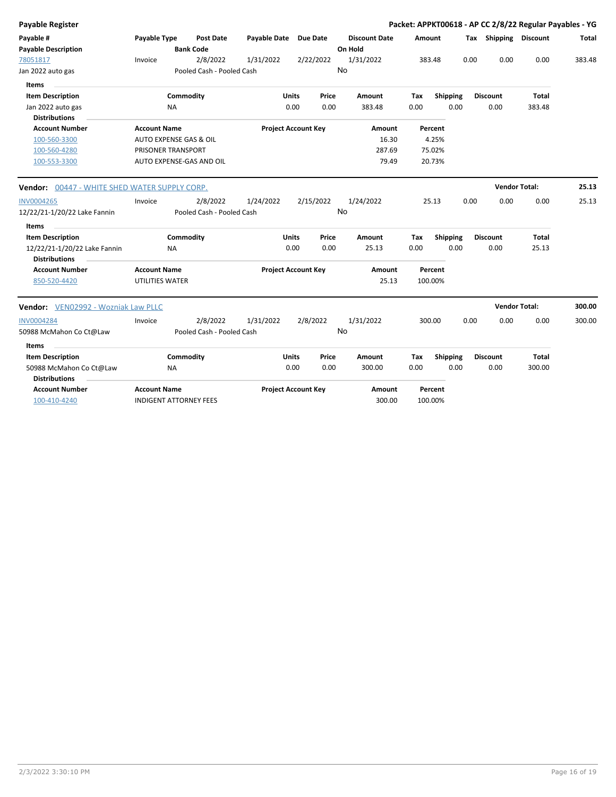| Payable Register                                     |                                        |                  |                           |                            |              |                            |       |    |                      |        |                    |      |                       | Packet: APPKT00618 - AP CC 2/8/22 Regular Payables - YG |        |
|------------------------------------------------------|----------------------------------------|------------------|---------------------------|----------------------------|--------------|----------------------------|-------|----|----------------------|--------|--------------------|------|-----------------------|---------------------------------------------------------|--------|
| Payable #                                            | Payable Type                           |                  | Post Date                 | Payable Date Due Date      |              |                            |       |    | <b>Discount Date</b> | Amount |                    |      | Tax Shipping Discount |                                                         | Total  |
| <b>Payable Description</b>                           |                                        | <b>Bank Code</b> |                           |                            |              |                            |       |    | On Hold              |        |                    |      |                       |                                                         |        |
| 78051817                                             | Invoice                                |                  | 2/8/2022                  | 1/31/2022                  |              | 2/22/2022                  |       |    | 1/31/2022            |        | 383.48             | 0.00 | 0.00                  | 0.00                                                    | 383.48 |
| Jan 2022 auto gas                                    |                                        |                  | Pooled Cash - Pooled Cash |                            |              |                            |       | No |                      |        |                    |      |                       |                                                         |        |
| <b>Items</b>                                         |                                        |                  |                           |                            |              |                            |       |    |                      |        |                    |      |                       |                                                         |        |
| <b>Item Description</b>                              |                                        | Commodity        |                           |                            | <b>Units</b> |                            | Price |    | Amount               | Tax    | <b>Shipping</b>    |      | <b>Discount</b>       | <b>Total</b>                                            |        |
| Jan 2022 auto gas                                    | <b>NA</b>                              |                  |                           |                            | 0.00         |                            | 0.00  |    | 383.48               | 0.00   | 0.00               |      | 0.00                  | 383.48                                                  |        |
| <b>Distributions</b>                                 |                                        |                  |                           |                            |              |                            |       |    |                      |        |                    |      |                       |                                                         |        |
| <b>Account Number</b>                                | <b>Account Name</b>                    |                  |                           |                            |              | <b>Project Account Key</b> |       |    | Amount               |        | Percent            |      |                       |                                                         |        |
| 100-560-3300                                         | AUTO EXPENSE GAS & OIL                 |                  |                           |                            |              |                            |       |    | 16.30                |        | 4.25%              |      |                       |                                                         |        |
| 100-560-4280                                         | PRISONER TRANSPORT                     |                  |                           |                            |              |                            |       |    | 287.69               |        | 75.02%             |      |                       |                                                         |        |
| 100-553-3300                                         | AUTO EXPENSE-GAS AND OIL               |                  |                           |                            |              |                            |       |    | 79.49                |        | 20.73%             |      |                       |                                                         |        |
| Vendor: 00447 - WHITE SHED WATER SUPPLY CORP.        |                                        |                  |                           |                            |              |                            |       |    |                      |        |                    |      |                       | <b>Vendor Total:</b>                                    | 25.13  |
| <b>INV0004265</b>                                    | Invoice                                |                  | 2/8/2022                  | 1/24/2022                  |              | 2/15/2022                  |       |    | 1/24/2022            |        | 25.13              | 0.00 | 0.00                  | 0.00                                                    | 25.13  |
| 12/22/21-1/20/22 Lake Fannin                         |                                        |                  | Pooled Cash - Pooled Cash |                            |              |                            |       | No |                      |        |                    |      |                       |                                                         |        |
| Items                                                |                                        |                  |                           |                            |              |                            |       |    |                      |        |                    |      |                       |                                                         |        |
| <b>Item Description</b>                              |                                        | Commodity        |                           |                            | Units        |                            | Price |    | Amount               | Tax    | <b>Shipping</b>    |      | <b>Discount</b>       | <b>Total</b>                                            |        |
| 12/22/21-1/20/22 Lake Fannin<br><b>Distributions</b> | NA.                                    |                  |                           |                            | 0.00         |                            | 0.00  |    | 25.13                | 0.00   | 0.00               |      | 0.00                  | 25.13                                                   |        |
| <b>Account Number</b><br>850-520-4420                | <b>Account Name</b><br>UTILITIES WATER |                  |                           | <b>Project Account Key</b> |              |                            |       |    | Amount<br>25.13      |        | Percent<br>100.00% |      |                       |                                                         |        |
| Vendor: VEN02992 - Wozniak Law PLLC                  |                                        |                  |                           |                            |              |                            |       |    |                      |        |                    |      |                       | <b>Vendor Total:</b>                                    | 300.00 |
| INV0004284                                           | Invoice                                |                  | 2/8/2022                  | 1/31/2022                  |              | 2/8/2022                   |       |    | 1/31/2022            |        | 300.00             | 0.00 | 0.00                  | 0.00                                                    | 300.00 |
| 50988 McMahon Co Ct@Law                              |                                        |                  | Pooled Cash - Pooled Cash |                            |              |                            |       | No |                      |        |                    |      |                       |                                                         |        |
| Items                                                |                                        |                  |                           |                            |              |                            |       |    |                      |        |                    |      |                       |                                                         |        |
| <b>Item Description</b>                              |                                        | Commodity        |                           |                            | Units        |                            | Price |    | Amount               | Tax    | Shipping           |      | <b>Discount</b>       | <b>Total</b>                                            |        |
| 50988 McMahon Co Ct@Law                              | <b>NA</b>                              |                  |                           |                            | 0.00         |                            | 0.00  |    | 300.00               | 0.00   | 0.00               |      | 0.00                  | 300.00                                                  |        |
| <b>Distributions</b>                                 |                                        |                  |                           |                            |              |                            |       |    |                      |        |                    |      |                       |                                                         |        |
| <b>Account Number</b>                                | <b>Account Name</b>                    |                  |                           | <b>Project Account Key</b> |              |                            |       |    | Amount               |        | Percent            |      |                       |                                                         |        |
| 100-410-4240                                         | <b>INDIGENT ATTORNEY FEES</b>          |                  |                           |                            |              |                            |       |    | 300.00               |        | 100.00%            |      |                       |                                                         |        |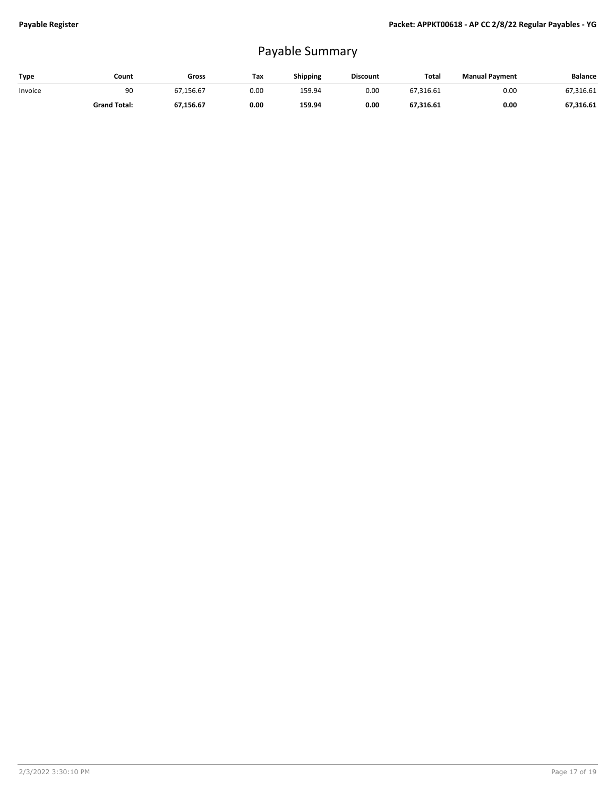# Payable Summary

| Type    | Count               | Gross     | Tax  | <b>Shipping</b> | <b>Discount</b> | Total     | <b>Manual Payment</b> | <b>Balance</b> |
|---------|---------------------|-----------|------|-----------------|-----------------|-----------|-----------------------|----------------|
| Invoice | 90                  | 67.156.67 | 0.00 | 159.94          | 0.00            | 67,316.61 | 0.00                  | 67.316.61      |
|         | <b>Grand Total:</b> | 67,156.67 | 0.00 | 159.94          | 0.00            | 67,316.61 | 0.00                  | 67,316.61      |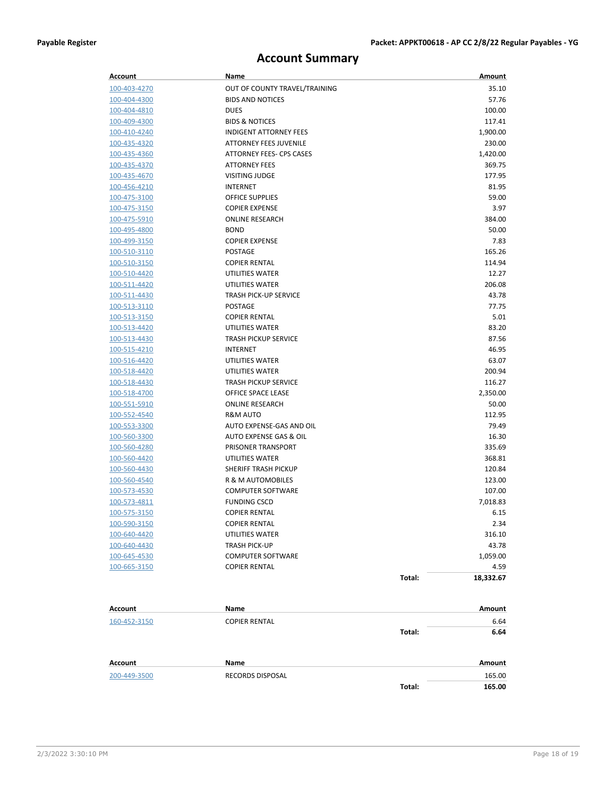## **Account Summary**

| Account                      | Name                                 |        | Amount          |
|------------------------------|--------------------------------------|--------|-----------------|
| 100-403-4270                 | OUT OF COUNTY TRAVEL/TRAINING        |        | 35.10           |
| 100-404-4300                 | <b>BIDS AND NOTICES</b>              |        | 57.76           |
| 100-404-4810                 | <b>DUES</b>                          |        | 100.00          |
| 100-409-4300                 | <b>BIDS &amp; NOTICES</b>            |        | 117.41          |
| 100-410-4240                 | <b>INDIGENT ATTORNEY FEES</b>        |        | 1,900.00        |
| 100-435-4320                 | <b>ATTORNEY FEES JUVENILE</b>        |        | 230.00          |
| 100-435-4360                 | ATTORNEY FEES- CPS CASES             |        | 1,420.00        |
| 100-435-4370                 | <b>ATTORNEY FEES</b>                 |        | 369.75          |
| 100-435-4670                 | <b>VISITING JUDGE</b>                |        | 177.95          |
| 100-456-4210                 | <b>INTERNET</b>                      |        | 81.95           |
| 100-475-3100                 | <b>OFFICE SUPPLIES</b>               |        | 59.00           |
| 100-475-3150                 | <b>COPIER EXPENSE</b>                |        | 3.97            |
| 100-475-5910                 | <b>ONLINE RESEARCH</b>               |        | 384.00          |
| 100-495-4800                 | <b>BOND</b>                          |        | 50.00           |
| 100-499-3150                 | <b>COPIER EXPENSE</b>                |        | 7.83            |
| 100-510-3110                 | <b>POSTAGE</b>                       |        | 165.26          |
| 100-510-3150                 | <b>COPIER RENTAL</b>                 |        | 114.94          |
| 100-510-4420                 | UTILITIES WATER                      |        | 12.27           |
| 100-511-4420                 | UTILITIES WATER                      |        | 206.08          |
| 100-511-4430                 | <b>TRASH PICK-UP SERVICE</b>         |        | 43.78           |
| <u>100-513-3110</u>          | <b>POSTAGE</b>                       |        | 77.75           |
| 100-513-3150                 | <b>COPIER RENTAL</b>                 |        | 5.01            |
| 100-513-4420                 | <b>UTILITIES WATER</b>               |        | 83.20           |
| 100-513-4430                 | <b>TRASH PICKUP SERVICE</b>          |        | 87.56           |
| 100-515-4210                 | INTERNET                             |        | 46.95           |
| 100-516-4420                 | UTILITIES WATER                      |        | 63.07           |
| 100-518-4420                 | UTILITIES WATER                      |        | 200.94          |
| 100-518-4430                 | <b>TRASH PICKUP SERVICE</b>          |        | 116.27          |
| 100-518-4700                 | OFFICE SPACE LEASE                   |        | 2,350.00        |
| <u>100-551-5910</u>          | <b>ONLINE RESEARCH</b>               |        | 50.00           |
| 100-552-4540                 | R&M AUTO<br>AUTO EXPENSE-GAS AND OIL |        | 112.95<br>79.49 |
| 100-553-3300                 | AUTO EXPENSE GAS & OIL               |        | 16.30           |
| 100-560-3300                 | PRISONER TRANSPORT                   |        | 335.69          |
| 100-560-4280<br>100-560-4420 | UTILITIES WATER                      |        | 368.81          |
| 100-560-4430                 | SHERIFF TRASH PICKUP                 |        | 120.84          |
| 100-560-4540                 | <b>R &amp; M AUTOMOBILES</b>         |        | 123.00          |
| 100-573-4530                 | <b>COMPUTER SOFTWARE</b>             |        | 107.00          |
| 100-573-4811                 | <b>FUNDING CSCD</b>                  |        | 7,018.83        |
| 100-575-3150                 | <b>COPIER RENTAL</b>                 |        | 6.15            |
| 100-590-3150                 | <b>COPIER RENTAL</b>                 |        | 2.34            |
| 100-640-4420                 | UTILITIES WATER                      |        | 316.10          |
| 100-640-4430                 | TRASH PICK-UP                        |        | 43.78           |
| 100-645-4530                 | <b>COMPUTER SOFTWARE</b>             |        | 1,059.00        |
| 100-665-3150                 | <b>COPIER RENTAL</b>                 |        | 4.59            |
|                              |                                      | Total: | 18,332.67       |
|                              |                                      |        |                 |
| Account                      | Name                                 |        | Amount          |
| 160-452-3150                 | <b>COPIER RENTAL</b>                 |        | 6.64            |
|                              |                                      | Total: | 6.64            |
| Account                      | Name                                 |        | Amount          |
| 200-449-3500                 | RECORDS DISPOSAL                     |        | 165.00          |
|                              |                                      | Total: | 165.00          |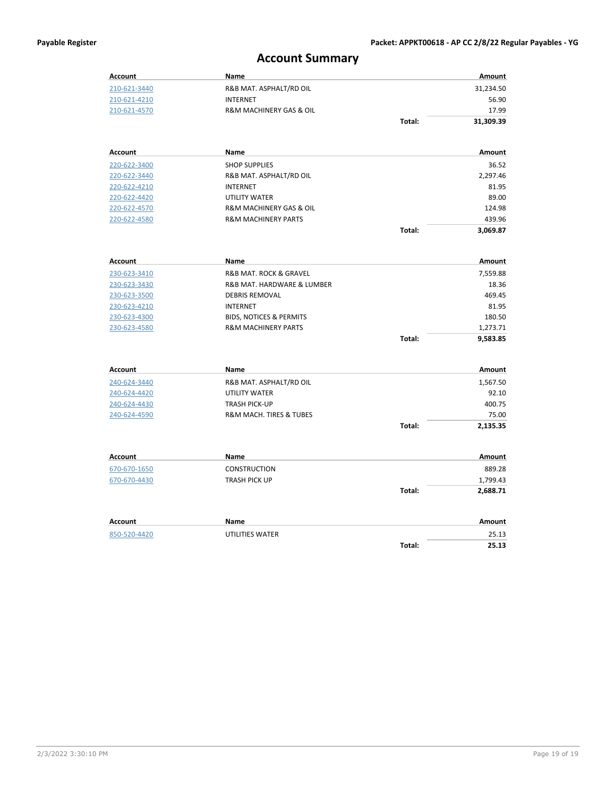## **Account Summary**

| <b>Account</b> | Name                                  |        | Amount               |
|----------------|---------------------------------------|--------|----------------------|
| 210-621-3440   | R&B MAT. ASPHALT/RD OIL               |        | 31,234.50            |
| 210-621-4210   | <b>INTERNET</b>                       |        | 56.90                |
| 210-621-4570   | R&M MACHINERY GAS & OIL               |        | 17.99                |
|                |                                       | Total: | 31,309.39            |
|                |                                       |        |                      |
| <b>Account</b> | <b>Name</b>                           |        | Amount               |
| 220-622-3400   | <b>SHOP SUPPLIES</b>                  |        | 36.52                |
| 220-622-3440   | R&B MAT. ASPHALT/RD OIL               |        | 2,297.46             |
| 220-622-4210   | <b>INTERNET</b>                       |        | 81.95                |
| 220-622-4420   | <b>UTILITY WATER</b>                  |        | 89.00                |
| 220-622-4570   | R&M MACHINERY GAS & OIL               |        | 124.98               |
| 220-622-4580   | <b>R&amp;M MACHINERY PARTS</b>        |        | 439.96               |
|                |                                       | Total: | 3,069.87             |
| Account        | <b>Name</b>                           |        | Amount               |
| 230-623-3410   | <b>R&amp;B MAT. ROCK &amp; GRAVEL</b> |        | 7,559.88             |
| 230-623-3430   | R&B MAT. HARDWARE & LUMBER            |        | 18.36                |
| 230-623-3500   | <b>DEBRIS REMOVAL</b>                 |        | 469.45               |
| 230-623-4210   | <b>INTERNET</b>                       |        | 81.95                |
| 230-623-4300   | <b>BIDS, NOTICES &amp; PERMITS</b>    |        | 180.50               |
| 230-623-4580   | <b>R&amp;M MACHINERY PARTS</b>        |        | 1,273.71             |
|                |                                       | Total: | 9,583.85             |
|                |                                       |        |                      |
| <b>Account</b> | Name                                  |        | Amount               |
| 240-624-3440   | R&B MAT. ASPHALT/RD OIL               |        | 1,567.50             |
| 240-624-4420   | UTILITY WATER                         |        | 92.10                |
| 240-624-4430   | <b>TRASH PICK-UP</b>                  |        | 400.75               |
| 240-624-4590   | R&M MACH. TIRES & TUBES               |        | 75.00                |
|                |                                       | Total: | 2,135.35             |
| <b>Account</b> | Name                                  |        | Amount               |
| 670-670-1650   | <b>CONSTRUCTION</b>                   |        | 889.28               |
|                | <b>TRASH PICK UP</b>                  |        |                      |
| 670-670-4430   |                                       | Total: | 1,799.43<br>2,688.71 |
|                |                                       |        |                      |
| <b>Account</b> | Name                                  |        | Amount               |
| 850-520-4420   | UTILITIES WATER                       |        | 25.13                |
|                |                                       | Total: | 25.13                |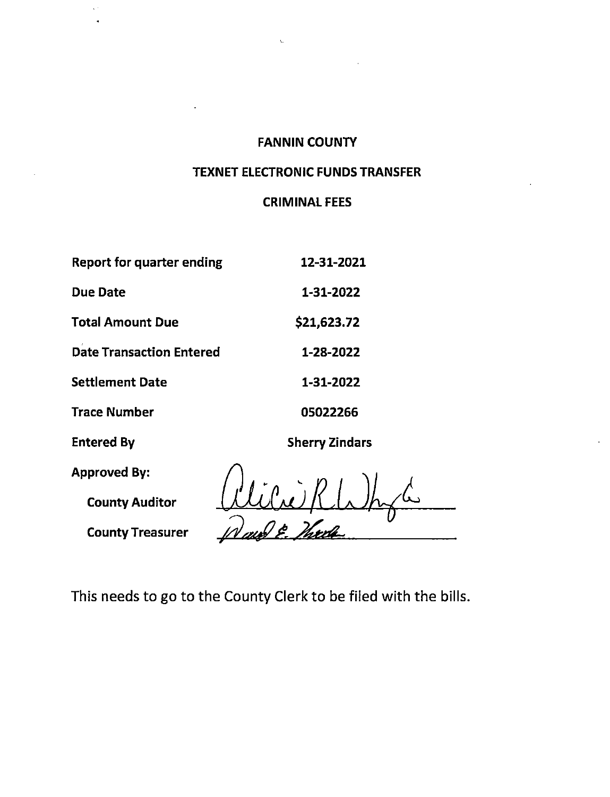$\mathbf{t}$ 

### **TEXNET ELECTRONIC FUNDS TRANSFER**

## **CRIMINAL FEES**

| <b>Report for quarter ending</b> | 12-31-2021            |
|----------------------------------|-----------------------|
| <b>Due Date</b>                  | 1-31-2022             |
| <b>Total Amount Due</b>          | \$21,623.72           |
| <b>Date Transaction Entered</b>  | 1-28-2022             |
| <b>Settlement Date</b>           | 1-31-2022             |
| <b>Trace Number</b>              | 05022266              |
| <b>Entered By</b>                | <b>Sherry Zindars</b> |
| <b>Approved By:</b>              |                       |
| <b>County Auditor</b>            |                       |
| <b>County Treasurer</b>          |                       |

This needs to go to the County Clerk to be filed with the bills.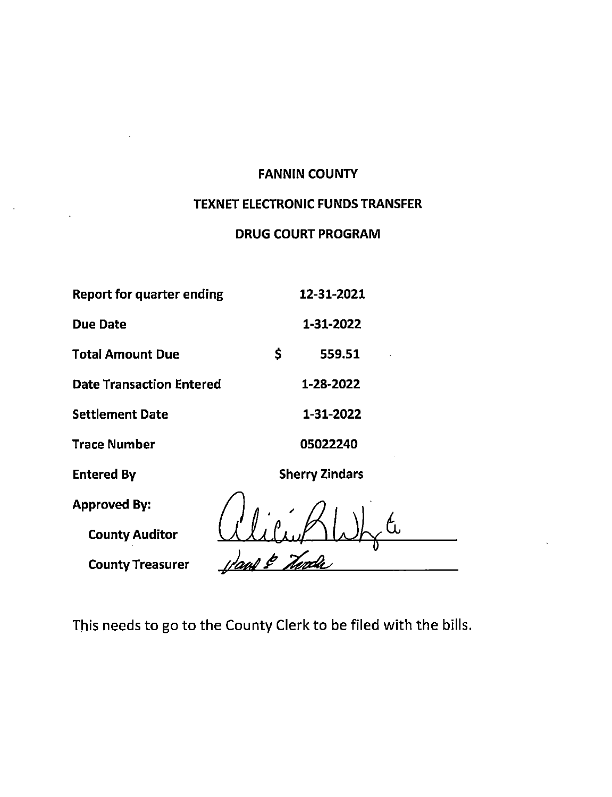## TEXNET ELECTRONIC FUNDS TRANSFER

## **DRUG COURT PROGRAM**

| <b>Report for quarter ending</b> | 12-31-2021            |
|----------------------------------|-----------------------|
| <b>Due Date</b>                  | 1-31-2022             |
| <b>Total Amount Due</b>          | \$<br>559.51          |
| <b>Date Transaction Entered</b>  | 1-28-2022             |
| <b>Settlement Date</b>           | 1-31-2022             |
| <b>Trace Number</b>              | 05022240              |
| <b>Entered By</b>                | <b>Sherry Zindars</b> |
| <b>Approved By:</b>              |                       |
| <b>County Auditor</b>            |                       |
| <b>County Treasurer</b>          |                       |

 $\frac{1}{2}$  ,  $\frac{1}{2}$ 

 $\epsilon$ 

This needs to go to the County Clerk to be filed with the bills.

 $\overline{\phantom{iiiiiiiiiiiii}}$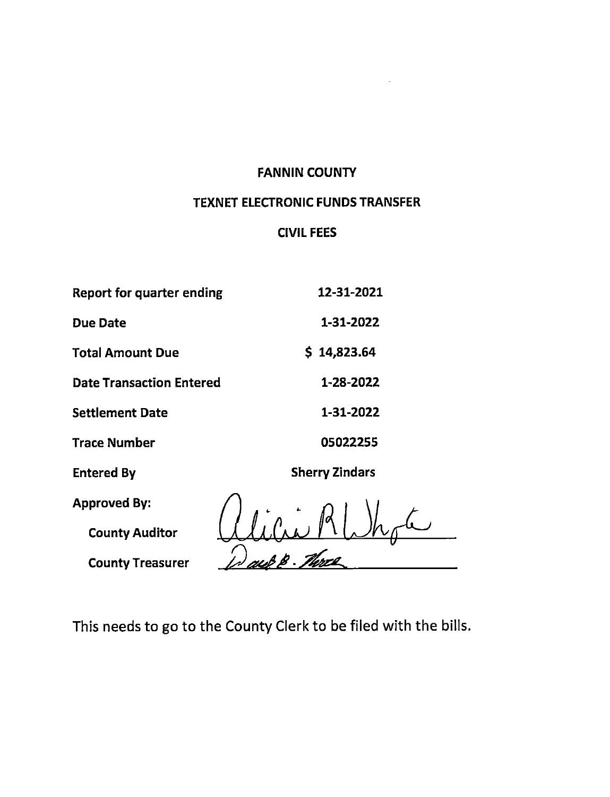## **TEXNET ELECTRONIC FUNDS TRANSFER**

## **CIVIL FEES**

| <b>Report for quarter ending</b> | 12-31-2021            |
|----------------------------------|-----------------------|
| <b>Due Date</b>                  | 1-31-2022             |
| <b>Total Amount Due</b>          | 14,823.64<br>S.       |
| <b>Date Transaction Entered</b>  | 1-28-2022             |
| <b>Settlement Date</b>           | 1-31-2022             |
| <b>Trace Number</b>              | 05022255              |
| <b>Entered By</b>                | <b>Sherry Zindars</b> |
| <b>Approved By:</b>              |                       |
| <b>County Auditor</b>            |                       |

All'a MUN

**County Treasurer** 

This needs to go to the County Clerk to be filed with the bills.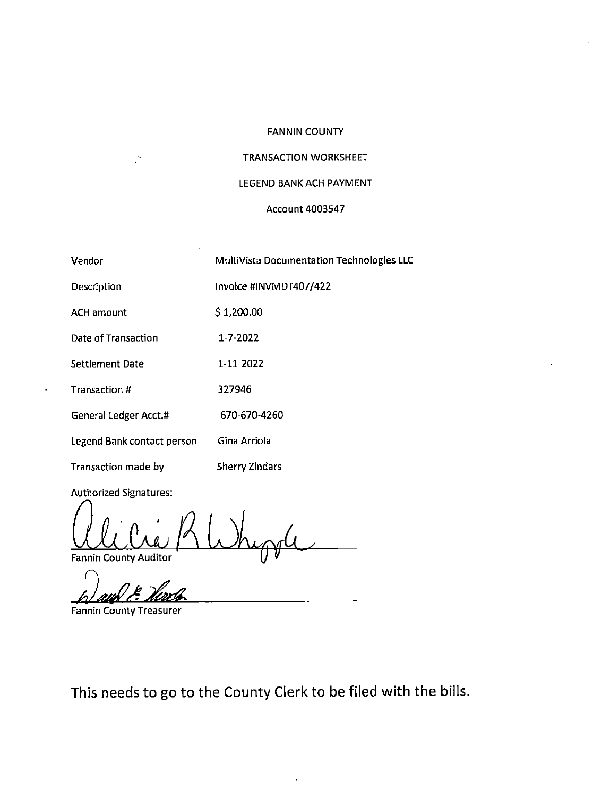#### **TRANSACTION WORKSHEET**

#### LEGEND BANK ACH PAYMENT

#### **Account 4003547**

| Vendor                     | MultiVista Documentation Technologies LLC |
|----------------------------|-------------------------------------------|
| Description                | Invoice #INVMDT407/422                    |
| <b>ACH amount</b>          | \$1,200.00                                |
| Date of Transaction        | 1-7-2022                                  |
| <b>Settlement Date</b>     | 1-11-2022                                 |
| <b>Transaction #</b>       | 327946                                    |
| General Ledger Acct.#      | 670-670-4260                              |
| Legend Bank contact person | Gina Arriola                              |
| Transaction made by        | <b>Sherry Zindars</b>                     |

Authorized Signatures:

 $\mathbb{R}^2$ 

**Fannin County Auditor** 

**Fannin County Treasurer** 

This needs to go to the County Clerk to be filed with the bills.